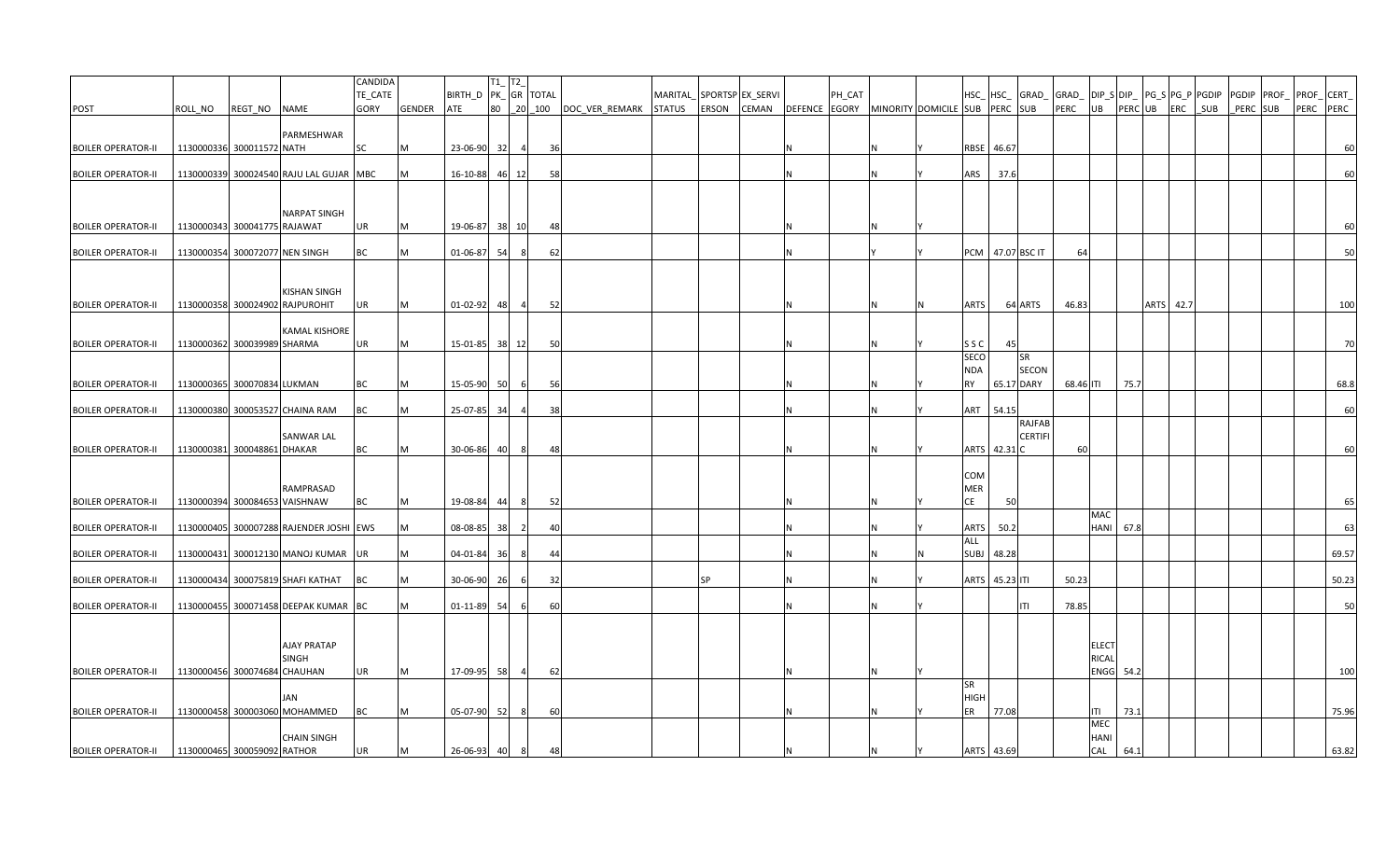|                           |         |                              |                                         | CANDIDA<br>TE_CATE |               | BIRTH_D PK_GR TOTAL | $TI$ <sub>-</sub> $TI$ <sub>-</sub> |                |           |                       | MARITAL |           | SPORTSP EX_SERVI |                | PH_CAT |    |                                |                |                  |           |                    |                  | HSC_ HSC_ GRAD_ GRAD_ DIP_S DIP_ PG_S PG_P PGDIP |              |          | PGDIP PROF PROF CERT |       |
|---------------------------|---------|------------------------------|-----------------------------------------|--------------------|---------------|---------------------|-------------------------------------|----------------|-----------|-----------------------|---------|-----------|------------------|----------------|--------|----|--------------------------------|----------------|------------------|-----------|--------------------|------------------|--------------------------------------------------|--------------|----------|----------------------|-------|
| <b>POST</b>               | ROLL_NO | REGT_NO NAME                 |                                         | GORY               | <b>GENDER</b> | ATE                 |                                     |                | 80 20 100 | DOC VER REMARK STATUS |         | ERSON     | CEMAN            | <b>DEFENCE</b> | EGORY  |    | MINORITY DOMICILE SUB PERC SUB |                |                  | PERC      | UB                 | PERC UB          | ERC                                              | $\angle$ SUB | PERC SUB | PERC PERC            |       |
|                           |         |                              |                                         |                    |               |                     |                                     |                |           |                       |         |           |                  |                |        |    |                                |                |                  |           |                    |                  |                                                  |              |          |                      |       |
|                           |         |                              | PARMESHWAR                              |                    |               |                     |                                     |                |           |                       |         |           |                  |                |        |    |                                |                |                  |           |                    |                  |                                                  |              |          |                      |       |
| <b>BOILER OPERATOR-II</b> |         | 1130000336 300011572 NATH    |                                         | SC                 | M             | 23-06-90 32         |                                     | $\overline{4}$ | 36        |                       |         |           |                  |                |        |    |                                | RBSE 46.67     |                  |           |                    |                  |                                                  |              |          |                      | 60    |
| <b>BOILER OPERATOR-II</b> |         |                              | 1130000339 300024540 RAJU LAL GUJAR MBC |                    | M             | 16-10-88            |                                     | 46 12          | 58        |                       |         |           |                  | N              |        |    | ARS                            | 37.6           |                  |           |                    |                  |                                                  |              |          |                      | 60    |
|                           |         |                              |                                         |                    |               |                     |                                     |                |           |                       |         |           |                  |                |        |    |                                |                |                  |           |                    |                  |                                                  |              |          |                      |       |
|                           |         |                              | <b>NARPAT SINGH</b>                     |                    |               |                     |                                     |                |           |                       |         |           |                  |                |        |    |                                |                |                  |           |                    |                  |                                                  |              |          |                      |       |
| <b>BOILER OPERATOR-II</b> |         | 1130000343 300041775 RAJAWAT |                                         | UR                 | M             | 19-06-87 38 10      |                                     |                | 48        |                       |         |           |                  | N              |        |    |                                |                |                  |           |                    |                  |                                                  |              |          |                      | 60    |
|                           |         |                              |                                         |                    |               |                     |                                     |                |           |                       |         |           |                  |                |        |    |                                |                |                  |           |                    |                  |                                                  |              |          |                      |       |
| <b>BOILER OPERATOR-II</b> |         |                              | 1130000354 300072077 NEN SINGH          | ВC                 | M             | 01-06-87            | 54                                  | 8              | 62        |                       |         |           |                  | N              |        |    |                                |                | PCM 47.07 BSC IT | 64        |                    |                  |                                                  |              |          |                      | 50    |
|                           |         |                              |                                         |                    |               |                     |                                     |                |           |                       |         |           |                  |                |        |    |                                |                |                  |           |                    |                  |                                                  |              |          |                      |       |
|                           |         |                              | KISHAN SINGH                            |                    |               |                     |                                     |                |           |                       |         |           |                  |                |        |    |                                |                |                  |           |                    |                  |                                                  |              |          |                      |       |
| <b>BOILER OPERATOR-II</b> |         |                              | 1130000358 300024902 RAJPUROHIT         | UR                 | M             | 01-02-92            | 48                                  |                | 52        |                       |         |           |                  | N              |        |    | <b>ARTS</b>                    |                | 64 ARTS          | 46.83     |                    |                  | ARTS 42.7                                        |              |          |                      | 100   |
|                           |         |                              |                                         |                    |               |                     |                                     |                |           |                       |         |           |                  |                |        |    |                                |                |                  |           |                    |                  |                                                  |              |          |                      |       |
| <b>BOILER OPERATOR-II</b> |         | 1130000362 300039989 SHARMA  | <b>KAMAL KISHORE</b>                    | UR                 | M             | 15-01-85 38 12      |                                     |                | 50        |                       |         |           |                  | N              |        |    | S S C                          | 45             |                  |           |                    |                  |                                                  |              |          |                      | 70    |
|                           |         |                              |                                         |                    |               |                     |                                     |                |           |                       |         |           |                  |                |        |    | <b>SECO</b>                    |                | <b>SR</b>        |           |                    |                  |                                                  |              |          |                      |       |
|                           |         |                              |                                         |                    |               |                     |                                     |                |           |                       |         |           |                  |                |        |    | <b>NDA</b>                     |                | <b>SECON</b>     |           |                    |                  |                                                  |              |          |                      |       |
| <b>BOILER OPERATOR-II</b> |         | 1130000365 300070834 LUKMAN  |                                         | BC                 | M             | 15-05-90            | 50                                  | -61            | 56        |                       |         |           |                  | N              |        |    | <b>RY</b>                      |                | 65.17 DARY       | 68.46 ITI |                    | 75.7             |                                                  |              |          |                      | 68.8  |
| <b>BOILER OPERATOR-II</b> |         |                              | 1130000380 300053527 CHAINA RAM         | BC                 | M             | 25-07-85            | 34                                  |                | 38        |                       |         |           |                  | N              |        |    |                                | ART 54.15      |                  |           |                    |                  |                                                  |              |          |                      | 60    |
|                           |         |                              |                                         |                    |               |                     |                                     |                |           |                       |         |           |                  |                |        |    |                                |                | RAJFAB           |           |                    |                  |                                                  |              |          |                      |       |
|                           |         |                              | SANWAR LAL                              |                    |               |                     |                                     |                |           |                       |         |           |                  |                |        |    |                                |                | <b>CERTIFI</b>   |           |                    |                  |                                                  |              |          |                      |       |
| <b>BOILER OPERATOR-II</b> |         | 1130000381 300048861 DHAKAR  |                                         | BC                 | M             | 30-06-86            | 40                                  | 8              | 48        |                       |         |           |                  |                |        |    |                                | ARTS 42.31 C   |                  | 60        |                    |                  |                                                  |              |          |                      | 60    |
|                           |         |                              |                                         |                    |               |                     |                                     |                |           |                       |         |           |                  |                |        |    | COM                            |                |                  |           |                    |                  |                                                  |              |          |                      |       |
|                           |         |                              | RAMPRASAD                               |                    |               |                     |                                     |                |           |                       |         |           |                  |                |        |    | <b>MER</b>                     |                |                  |           |                    |                  |                                                  |              |          |                      |       |
| <b>BOILER OPERATOR-II</b> |         |                              | 1130000394 300084653 VAISHNAW           | ВC                 | M             | 19-08-84            |                                     | 44 8           | 52        |                       |         |           |                  | N              |        |    | CE                             | 50             |                  |           |                    |                  |                                                  |              |          |                      | 65    |
| <b>BOILER OPERATOR-II</b> |         |                              | 1130000405 300007288 RAJENDER JOSHI EWS |                    | M             | 08-08-85            | 38                                  | $\overline{2}$ | 40        |                       |         |           |                  | N              |        |    | <b>ARTS</b>                    | 50.2           |                  |           | <b>MAC</b><br>HANI | 67.8             |                                                  |              |          |                      | 63    |
|                           |         |                              |                                         |                    |               |                     |                                     |                |           |                       |         |           |                  |                |        |    | ALL                            |                |                  |           |                    |                  |                                                  |              |          |                      |       |
| <b>BOILER OPERATOR-II</b> |         |                              | 1130000431 300012130 MANOJ KUMAR UR     |                    | M             | 04-01-84            | 36                                  | - 81           | 44        |                       |         |           |                  | N              |        |    | <b>SUBJ</b>                    | 48.28          |                  |           |                    |                  |                                                  |              |          |                      | 69.57 |
|                           |         |                              | 1130000434 300075819 SHAFI KATHAT       | BC                 | M             | 30-06-90            | 26                                  |                | 32        |                       |         | <b>SP</b> |                  | N              |        |    |                                | ARTS 45.23 ITI |                  | 50.23     |                    |                  |                                                  |              |          |                      | 50.23 |
| <b>BOILER OPERATOR-II</b> |         |                              |                                         |                    |               |                     |                                     |                |           |                       |         |           |                  |                |        |    |                                |                |                  |           |                    |                  |                                                  |              |          |                      |       |
| <b>BOILER OPERATOR-II</b> |         |                              | 1130000455 300071458 DEEPAK KUMAR BC    |                    | M             | 01-11-89            | 54                                  | -6             | 60        |                       |         |           |                  |                |        | IN |                                |                | ITI              | 78.85     |                    |                  |                                                  |              |          |                      | 50    |
|                           |         |                              |                                         |                    |               |                     |                                     |                |           |                       |         |           |                  |                |        |    |                                |                |                  |           |                    |                  |                                                  |              |          |                      |       |
|                           |         |                              | AJAY PRATAP                             |                    |               |                     |                                     |                |           |                       |         |           |                  |                |        |    |                                |                |                  |           | <b>ELECT</b>       |                  |                                                  |              |          |                      |       |
|                           |         |                              | SINGH                                   |                    |               |                     |                                     |                |           |                       |         |           |                  |                |        |    |                                |                |                  |           | RICAL              |                  |                                                  |              |          |                      |       |
| <b>BOILER OPERATOR-II</b> |         | 1130000456 300074684 CHAUHAN |                                         | UR                 | M             | 17-09-95            | 58                                  | $\overline{4}$ | 62        |                       |         |           |                  | N.             |        |    |                                |                |                  |           |                    | <b>ENGG</b> 54.2 |                                                  |              |          |                      | 100   |
|                           |         |                              |                                         |                    |               |                     |                                     |                |           |                       |         |           |                  |                |        |    | <b>SR</b>                      |                |                  |           |                    |                  |                                                  |              |          |                      |       |
| <b>BOILER OPERATOR-II</b> |         |                              | JAN<br>1130000458 300003060 MOHAMMED    | ВC                 | M             | 05-07-90            | 52                                  |                | 60        |                       |         |           |                  | N              |        |    | <b>HIGH</b><br>ER              | 77.08          |                  |           | ITI                | 73.1             |                                                  |              |          |                      | 75.96 |
|                           |         |                              |                                         |                    |               |                     |                                     |                |           |                       |         |           |                  |                |        |    |                                |                |                  |           | MEC                |                  |                                                  |              |          |                      |       |
|                           |         |                              | <b>CHAIN SINGH</b>                      |                    |               |                     |                                     |                |           |                       |         |           |                  |                |        |    |                                |                |                  |           | <b>HANI</b>        |                  |                                                  |              |          |                      |       |
| <b>BOILER OPERATOR-II</b> |         | 1130000465 300059092 RATHOR  |                                         | UR                 | M             | 26-06-93            | 40                                  | 8              | 48        |                       |         |           |                  |                |        |    |                                | ARTS 43.69     |                  |           | CAL                | 64.1             |                                                  |              |          |                      | 63.82 |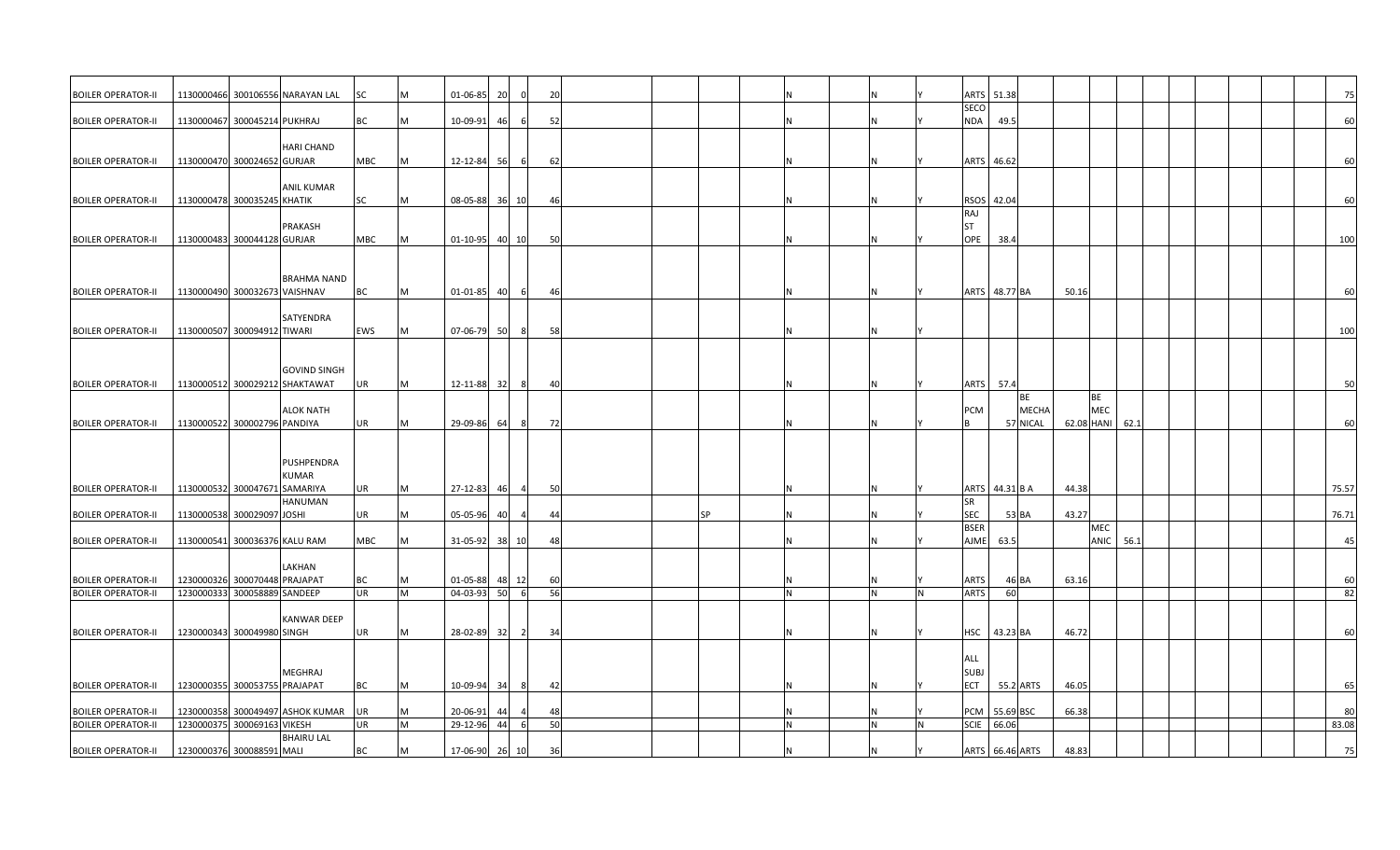| <b>BOILER OPERATOR-II</b>                              |                               |                               | 1130000466 300106556 NARAYAN LAL | SC              | M      | 01-06-85             | 20                    | 20                   |           |          |  |   | ARTS 51.38                             |                           |  | 75       |
|--------------------------------------------------------|-------------------------------|-------------------------------|----------------------------------|-----------------|--------|----------------------|-----------------------|----------------------|-----------|----------|--|---|----------------------------------------|---------------------------|--|----------|
| <b>BOILER OPERATOR-II</b>                              |                               | 1130000467 300045214 PUKHRAJ  |                                  | BC              | M      | 10-09-91             | 46                    | 52                   |           |          |  |   | <b>SECO</b><br><b>NDA</b><br>49.5      |                           |  | 60       |
|                                                        |                               |                               | <b>HARI CHAND</b>                |                 |        |                      |                       |                      |           |          |  |   |                                        |                           |  |          |
| <b>BOILER OPERATOR-II</b>                              |                               | 1130000470 300024652 GURJAR   |                                  | MBC             | M      | 12-12-84             | 56<br>6               | 62                   |           |          |  |   | ARTS 46.62                             |                           |  | 60       |
| <b>BOILER OPERATOR-II</b>                              | 1130000478 300035245 KHATIK   |                               | <b>ANIL KUMAR</b>                | SC              | M      | 08-05-88             | 36<br>10              | 46                   |           |          |  |   | RSOS 42.04                             |                           |  | 60       |
| <b>BOILER OPERATOR-II</b>                              |                               | 1130000483 300044128 GURJAR   | PRAKASH                          | MBC             | M      | $01 - 10 - 95$       | 40<br>10              | 50                   |           |          |  |   | RAJ<br><b>ST</b><br>OPE<br>38.4        |                           |  | 100      |
|                                                        |                               |                               |                                  |                 |        |                      |                       |                      |           |          |  |   |                                        |                           |  |          |
| <b>BOILER OPERATOR-II</b>                              | 1130000490 300032673 VAISHNAV |                               | <b>BRAHMA NAND</b>               | BC              | M      | $01 - 01 - 85$       | 40                    | 46                   |           |          |  |   | ARTS 48.77 BA<br>50.16                 |                           |  | 60       |
|                                                        |                               |                               |                                  |                 |        |                      |                       |                      |           |          |  |   |                                        |                           |  |          |
| <b>BOILER OPERATOR-II</b>                              |                               | 1130000507 300094912 TIWARI   | SATYENDRA                        | EWS             | М      | 07-06-79             | 50<br>8               | -58                  |           |          |  |   |                                        |                           |  | 100      |
|                                                        |                               |                               | <b>GOVIND SINGH</b>              |                 |        |                      |                       |                      |           |          |  |   |                                        |                           |  |          |
| <b>BOILER OPERATOR-II</b>                              |                               |                               | 1130000512 300029212 SHAKTAWAT   | UR              | M      | 12-11-88             | 32<br>-8              | 40                   |           |          |  |   | 57.4<br><b>ARTS</b><br><b>BE</b>       | BE                        |  | 50       |
| <b>BOILER OPERATOR-II</b>                              |                               | 1130000522 300002796 PANDIYA  | <b>ALOK NATH</b>                 | UR              | M      | 29-09-86             | 64                    | 72<br>8              |           |          |  |   | PCM<br><b>MECHA</b><br>l B<br>57 NICAL | MEC<br>62.1<br>62.08 HANI |  | 60       |
|                                                        |                               |                               |                                  |                 |        |                      |                       |                      |           |          |  |   |                                        |                           |  |          |
|                                                        |                               |                               | PUSHPENDRA<br><b>KUMAR</b>       |                 |        |                      |                       |                      |           |          |  |   |                                        |                           |  |          |
| <b>BOILER OPERATOR-II</b>                              |                               | 1130000532 300047671 SAMARIYA |                                  | UR              | M      | 27-12-83             | 46                    | 50<br>$\overline{a}$ |           |          |  |   | ARTS 44.31 B A                         | 44.38                     |  | 75.57    |
| <b>BOILER OPERATOR-II</b>                              |                               | 1130000538 300029097 JOSHI    | <b>HANUMAN</b>                   | UR              | М      | 05-05-96             | 40                    | 44                   | <b>SP</b> |          |  |   | <b>SR</b><br><b>SEC</b><br>53 BA       | 43.27                     |  | 76.71    |
| <b>BOILER OPERATOR-II</b>                              |                               | 1130000541 300036376 KALU RAM |                                  | MBC             | M      | 31-05-92             | 38 10                 | 48                   |           |          |  |   | <b>BSER</b><br><b>AJME</b><br>63.5     | MEC<br>ANIC<br>56.1       |  | 45       |
|                                                        |                               |                               | LAKHAN                           |                 |        |                      |                       |                      |           |          |  |   |                                        |                           |  |          |
| <b>BOILER OPERATOR-II</b><br><b>BOILER OPERATOR-II</b> | 1230000333 300058889 SANDEEP  | 1230000326 300070448 PRAJAPAT |                                  | BC<br><b>UR</b> | M<br>M | 01-05-88<br>04-03-93 | 48<br>12<br>50<br>- 6 | 60<br>56             |           | <b>N</b> |  | N | ARTS<br>46 BA<br><b>ARTS</b><br>60     | 63.16                     |  | 60<br>82 |
|                                                        |                               |                               |                                  |                 |        |                      |                       |                      |           |          |  |   |                                        |                           |  |          |
| <b>BOILER OPERATOR-II</b>                              |                               | 1230000343 300049980 SINGH    | <b>KANWAR DEEP</b>               | UR              | M      | 28-02-89             | 32<br>$\overline{2}$  | 34                   |           |          |  |   | HSC 43.23 BA                           | 46.72                     |  | 60       |
|                                                        |                               |                               |                                  |                 |        |                      |                       |                      |           |          |  |   | ALL                                    |                           |  |          |
| <b>BOILER OPERATOR-II</b>                              | 1230000355 300053755 PRAJAPAT |                               | MEGHRAJ                          | BC              | M      | 10-09-94             | 34<br>8               | 42                   |           |          |  |   | <b>SUBJ</b><br>ECT<br>55.2 ARTS        | 46.05                     |  | 65       |
| <b>BOILER OPERATOR-II</b>                              |                               |                               | 1230000358 300049497 ASHOK KUMAR | UR              | M      | 20-06-91             |                       | 48                   |           |          |  |   | PCM 55.69 BSC                          | 66.38                     |  | 80       |
| <b>BOILER OPERATOR-II</b>                              | 1230000375 300069163 VIKESH   |                               |                                  | UR              | M      | 29-12-96             | 44                    | 50<br>6              |           | N        |  | N | <b>SCIE</b><br>66.06                   |                           |  | 83.08    |
| <b>BOILER OPERATOR-II</b>                              |                               | 1230000376 300088591 MALI     | <b>BHAIRU LAL</b>                | BC              | M      | 17-06-90             | 26<br>10              | 36                   |           |          |  |   | ARTS 66.46 ARTS                        | 48.83                     |  | 75       |
|                                                        |                               |                               |                                  |                 |        |                      |                       |                      |           |          |  |   |                                        |                           |  |          |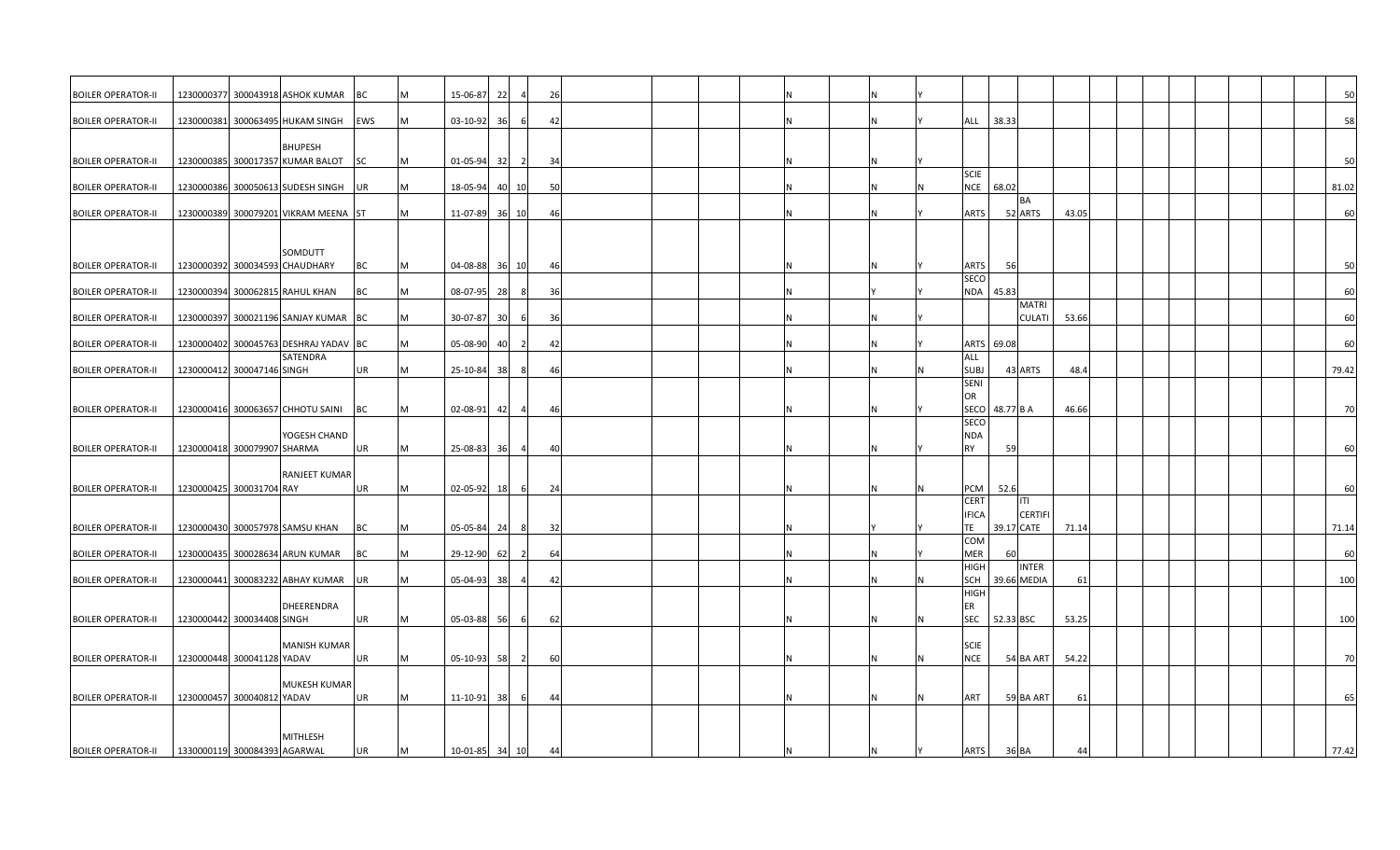| <b>BOILER OPERATOR-II</b> |                              |                             | 1230000377 300043918 ASHOK KUMAR          | IBC.      | М | 15-06-87       | 22        | 26                   |  |  |  |                                                     |       |  |       | 50  |
|---------------------------|------------------------------|-----------------------------|-------------------------------------------|-----------|---|----------------|-----------|----------------------|--|--|--|-----------------------------------------------------|-------|--|-------|-----|
| <b>BOILER OPERATOR-II</b> |                              |                             | 1230000381 300063495 HUKAM SINGH          | EWS       | M | $03 - 10 - 92$ | 36        | 42                   |  |  |  | 38.33<br>ALL                                        |       |  |       | 58  |
|                           |                              |                             | <b>BHUPESH</b>                            |           |   |                |           |                      |  |  |  |                                                     |       |  |       |     |
| <b>BOILER OPERATOR-II</b> |                              |                             | 1230000385 300017357 KUMAR BALOT          | <b>SC</b> | M | 01-05-94       | 32        | 34<br>$\overline{2}$ |  |  |  |                                                     |       |  |       | 50  |
| <b>BOILER OPERATOR-I</b>  |                              |                             | 1230000386 300050613 SUDESH SINGH         | <b>UR</b> | M | 18-05-94       | 40<br>10I | 50                   |  |  |  | <b>SCIE</b><br><b>NCE</b><br>68.02                  |       |  | 81.02 |     |
| <b>BOILER OPERATOR-II</b> |                              |                             | 1230000389 300079201 VIKRAM MEENA ST      |           | M | 11-07-89 36 10 |           | 46                   |  |  |  | <b>BA</b><br>ARTS<br>52 ARTS                        | 43.05 |  |       | 60  |
|                           |                              |                             |                                           |           |   |                |           |                      |  |  |  |                                                     |       |  |       |     |
| <b>BOILER OPERATOR-II</b> |                              |                             | SOMDUTT<br>1230000392 300034593 CHAUDHARY | ВC        | M | 04-08-88       | 36<br>10  | 46                   |  |  |  | 56<br><b>ARTS</b>                                   |       |  |       | 50  |
|                           |                              |                             |                                           |           |   |                |           |                      |  |  |  | SECO                                                |       |  |       |     |
| <b>BOILER OPERATOR-II</b> |                              |                             | 1230000394 300062815 RAHUL KHAN           | BC        | M | $08 - 07 - 95$ | 28        | 36                   |  |  |  | NDA 45.83<br><b>MATRI</b>                           |       |  |       | 60  |
| <b>BOILER OPERATOR-II</b> |                              |                             | 1230000397 300021196 SANJAY KUMAR BC      |           | M | 30-07-87       | 30        | 36                   |  |  |  | <b>CULATI</b>                                       | 53.66 |  |       | 60  |
| <b>BOILER OPERATOR-II</b> |                              |                             | 1230000402 300045763 DESHRAJ YADAV BC     |           | M | 05-08-90       | 40        | 42                   |  |  |  | ARTS 69.08                                          |       |  |       | 60  |
|                           |                              |                             | SATENDRA                                  |           |   |                |           |                      |  |  |  | ALL                                                 |       |  |       |     |
| <b>BOILER OPERATOR-II</b> |                              | 1230000412 300047146 SINGH  |                                           | UR        | M | 25-10-84       | 38        | 46                   |  |  |  | <b>SUBJ</b><br>43 ARTS<br>SENI                      | 48.4  |  | 79.42 |     |
| <b>BOILER OPERATOR-II</b> |                              |                             | 1230000416 300063657 CHHOTU SAINI         | <b>BC</b> | M | 02-08-91       | 42        | -46                  |  |  |  | OR<br>SECO<br>48.77 B A                             | 46.66 |  |       | 70  |
|                           |                              |                             | YOGESH CHAND                              |           |   |                |           |                      |  |  |  | <b>SECO</b><br><b>NDA</b>                           |       |  |       |     |
| <b>BOILER OPERATOR-II</b> |                              | 1230000418 300079907 SHARMA |                                           | UR        | M | 25-08-83       | 36        | 40                   |  |  |  | <b>RY</b><br>59                                     |       |  |       | 60  |
|                           |                              |                             | <b>RANJEET KUMAR</b>                      |           |   |                |           |                      |  |  |  |                                                     |       |  |       |     |
| <b>BOILER OPERATOR-II</b> |                              | 1230000425 300031704 RAY    |                                           | UR        | M | $02 - 05 - 92$ | 18        | 24<br>6              |  |  |  | 52.6<br>PCM                                         |       |  |       | 60  |
|                           |                              |                             |                                           |           |   |                |           |                      |  |  |  | <b>CERT</b><br>ITI<br><b>IFICA</b><br><b>CERTIF</b> |       |  |       |     |
| <b>BOILER OPERATOR-II</b> |                              |                             | 1230000430 300057978 SAMSU KHAN           | <b>BC</b> | M | 05-05-84       | 24        | 32<br>8              |  |  |  | <b>TE</b><br>39.17 CATE                             | 71.14 |  | 71.14 |     |
| <b>BOILER OPERATOR-II</b> |                              |                             | 1230000435 300028634 ARUN KUMAR           | BC        | M | 29-12-90       | 62        | 64<br>-2             |  |  |  | COM<br><b>MER</b><br>60                             |       |  |       | 60  |
| <b>BOILER OPERATOR-II</b> |                              |                             | 1230000441 300083232 ABHAY KUMAR          | <b>UR</b> | M | 05-04-93       | 38        | 42                   |  |  |  | <b>HIGH</b><br><b>INTER</b><br>SCH<br>39.66 MEDIA   | 61    |  |       | 100 |
|                           |                              |                             |                                           |           |   |                |           |                      |  |  |  | <b>HIGH</b>                                         |       |  |       |     |
| <b>BOILER OPERATOR-II</b> |                              | 1230000442 300034408 SINGH  | DHEERENDRA                                | UR        | M | 05-03-88       | 56        | 62                   |  |  |  | ER<br><b>SEC</b><br>52.33 BSC                       | 53.25 |  |       | 100 |
|                           |                              |                             |                                           |           |   |                |           |                      |  |  |  |                                                     |       |  |       |     |
| <b>BOILER OPERATOR-II</b> |                              | 1230000448 300041128 YADAV  | <b>MANISH KUMAR</b>                       | UR        | M | $05 - 10 - 93$ | 58        | 60<br>-2             |  |  |  | <b>SCIE</b><br><b>NCE</b><br>54 BA ART              | 54.22 |  |       | 70  |
|                           |                              |                             | MUKESH KUMAR                              |           |   |                |           |                      |  |  |  |                                                     |       |  |       |     |
| <b>BOILER OPERATOR-II</b> |                              | 1230000457 300040812 YADAV  |                                           | UR        | M | $11 - 10 - 91$ | 38        | 44<br>6              |  |  |  | ART<br>59 BA ART                                    | 61    |  |       | 65  |
|                           |                              |                             |                                           |           |   |                |           |                      |  |  |  |                                                     |       |  |       |     |
|                           |                              |                             | <b>MITHLESH</b>                           |           |   |                |           |                      |  |  |  |                                                     |       |  |       |     |
| <b>BOILER OPERATOR-II</b> | 1330000119 300084393 AGARWAL |                             |                                           | UR        | M | 10-01-85       | 34<br>10  | 44                   |  |  |  | <b>ARTS</b><br>36 BA                                | 44    |  | 77.42 |     |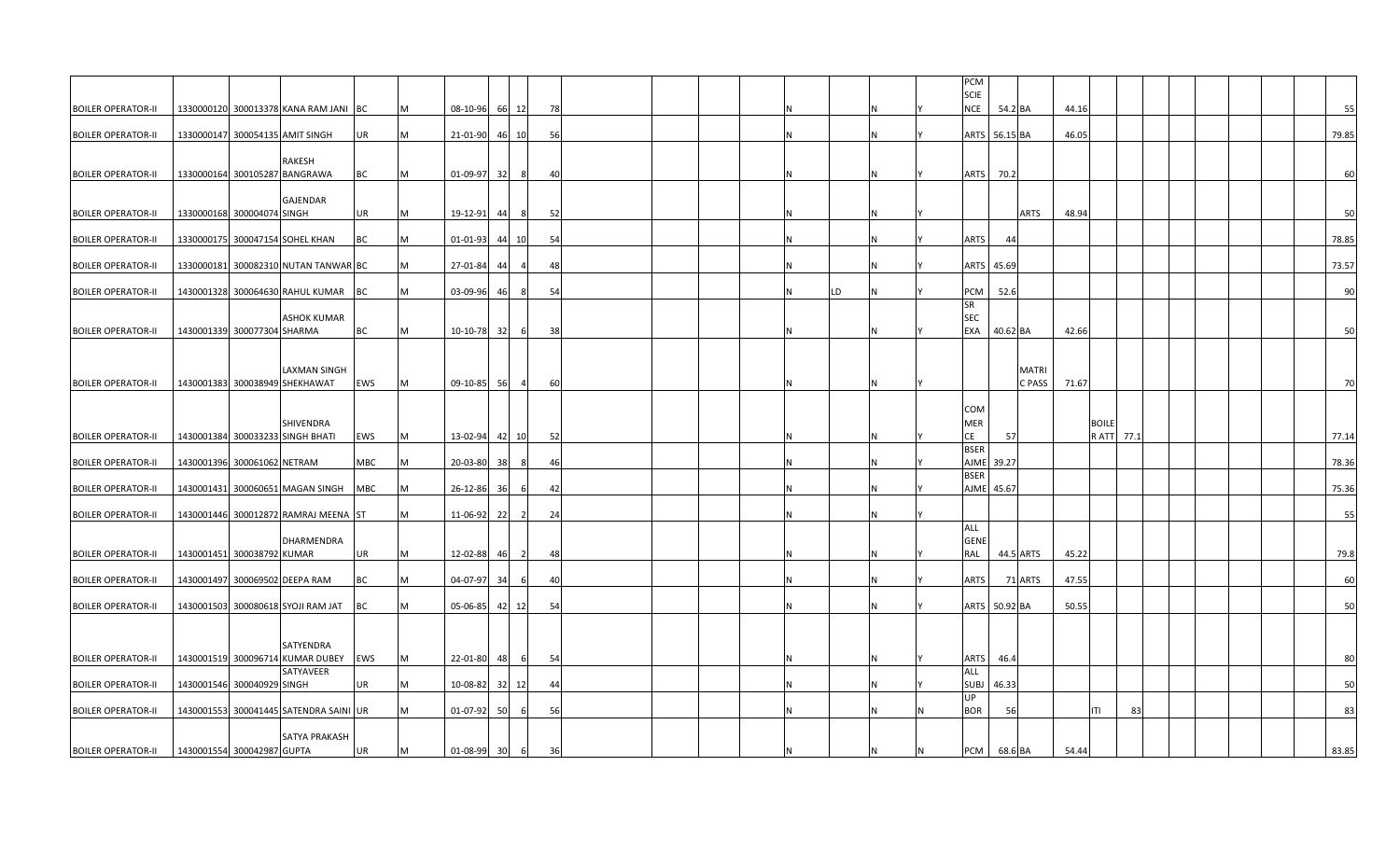|                           |                            |                             |                                               |           |   |                |    |                |     |  |  |   |     | PCM                      |               |              |       |              |    |  |  |       |
|---------------------------|----------------------------|-----------------------------|-----------------------------------------------|-----------|---|----------------|----|----------------|-----|--|--|---|-----|--------------------------|---------------|--------------|-------|--------------|----|--|--|-------|
|                           |                            |                             |                                               |           |   |                |    |                |     |  |  |   |     | <b>SCIE</b>              |               |              |       |              |    |  |  |       |
| <b>BOILER OPERATOR-II</b> |                            |                             | 1330000120 300013378 KANA RAM JANI BC         |           | M | 08-10-96       |    | 66 12          | 78  |  |  |   |     | <b>NCE</b>               |               | 54.2 BA      | 44.16 |              |    |  |  | 55    |
| <b>BOILER OPERATOR-II</b> |                            |                             | 1330000147 300054135 AMIT SINGH               | UR        | M | 21-01-90       |    | 46 10          | 56  |  |  | N |     |                          | ARTS 56.15 BA |              | 46.05 |              |    |  |  | 79.85 |
|                           |                            |                             |                                               |           |   |                |    |                |     |  |  |   |     |                          |               |              |       |              |    |  |  |       |
|                           |                            |                             | RAKESH                                        |           |   |                |    |                |     |  |  |   |     |                          |               |              |       |              |    |  |  |       |
| <b>BOILER OPERATOR-II</b> |                            |                             | 1330000164 300105287 BANGRAWA                 | BC        | M | 01-09-97       | 32 | -8             | 40  |  |  |   |     | <b>ARTS</b>              | 70.2          |              |       |              |    |  |  | 60    |
|                           |                            |                             | GAJENDAR                                      |           |   |                |    |                |     |  |  |   |     |                          |               |              |       |              |    |  |  |       |
| <b>BOILER OPERATOR-II</b> |                            | 1330000168 300004074 SINGH  |                                               | UR        | M | 19-12-91       | 44 | - 8            | 52  |  |  | N |     |                          |               | ARTS         | 48.94 |              |    |  |  | 50    |
|                           |                            |                             |                                               | BC        | M | 01-01-93       |    |                | 54  |  |  | N |     | <b>ARTS</b>              | 44            |              |       |              |    |  |  | 78.85 |
| <b>BOILER OPERATOR-II</b> |                            |                             | 1330000175 300047154 SOHEL KHAN               |           |   |                |    | 44 10          |     |  |  |   |     |                          |               |              |       |              |    |  |  |       |
| <b>BOILER OPERATOR-II</b> |                            |                             | 1330000181 300082310 NUTAN TANWAR BC          |           | M | 27-01-84       | 44 |                | 48  |  |  | N |     | <b>ARTS</b>              | 45.69         |              |       |              |    |  |  | 73.57 |
|                           |                            |                             |                                               |           |   |                |    |                |     |  |  |   |     |                          |               |              |       |              |    |  |  |       |
| <b>BOILER OPERATOR-II</b> |                            |                             | 1430001328 300064630 RAHUL KUMAR              | BC        | M | 03-09-96       | 46 | 8              | 54  |  |  | N | LD. | PCM<br><b>SR</b>         | 52.6          |              |       |              |    |  |  | 90    |
|                           |                            |                             | <b>ASHOK KUMAR</b>                            |           |   |                |    |                |     |  |  |   |     | <b>SEC</b>               |               |              |       |              |    |  |  |       |
| <b>BOILER OPERATOR-II</b> |                            | 1430001339 300077304 SHARMA |                                               | BC        | M | 10-10-78 32    |    | - 6            | 38  |  |  | N |     | <b>EXA</b>               | 40.62 BA      |              | 42.66 |              |    |  |  | 50    |
|                           |                            |                             |                                               |           |   |                |    |                |     |  |  |   |     |                          |               |              |       |              |    |  |  |       |
|                           |                            |                             | LAXMAN SINGH                                  |           |   |                |    |                |     |  |  |   |     |                          |               | <b>MATRI</b> |       |              |    |  |  |       |
| <b>BOILER OPERATOR-II</b> |                            |                             | 1430001383 300038949 SHEKHAWAT                | EWS       | M | 09-10-85       | 56 | 4              | 60  |  |  | N |     |                          |               | C PASS       | 71.67 |              |    |  |  | 70    |
|                           |                            |                             |                                               |           |   |                |    |                |     |  |  |   |     |                          |               |              |       |              |    |  |  |       |
|                           |                            |                             | SHIVENDRA                                     |           |   |                |    |                |     |  |  |   |     | <b>COM</b><br><b>MER</b> |               |              |       | <b>BOILE</b> |    |  |  |       |
| <b>BOILER OPERATOR-II</b> |                            |                             | 1430001384 300033233 SINGH BHATI              | EWS       | M | 13-02-94 42 10 |    |                | 52  |  |  | N |     | CE                       | 57            |              |       | R ATT 77.1   |    |  |  | 77.14 |
|                           |                            |                             |                                               |           |   |                |    |                |     |  |  |   |     | <b>BSER</b>              |               |              |       |              |    |  |  |       |
| <b>BOILER OPERATOR-II</b> |                            | 1430001396 300061062 NETRAM |                                               | МВС       | M | 20-03-80       | 38 | -8             | 46  |  |  | N |     | <b>AJME</b>              | 39.27         |              |       |              |    |  |  | 78.36 |
| <b>BOILER OPERATOR-II</b> |                            |                             | 1430001431 300060651 MAGAN SINGH              | MBC       | M | 26-12-86       | 36 | -6             | 42  |  |  | N |     | <b>BSER</b><br>AJME      | 45.67         |              |       |              |    |  |  | 75.36 |
|                           |                            |                             |                                               |           |   |                |    |                |     |  |  |   |     |                          |               |              |       |              |    |  |  |       |
| <b>BOILER OPERATOR-II</b> |                            |                             | 1430001446 300012872 RAMRAJ MEENA ST          |           | M | 11-06-92       | 22 | $\overline{2}$ | -24 |  |  | N |     |                          |               |              |       |              |    |  |  | 55    |
|                           |                            |                             | DHARMENDRA                                    |           |   |                |    |                |     |  |  |   |     | ALL<br><b>GENE</b>       |               |              |       |              |    |  |  |       |
| <b>BOILER OPERATOR-II</b> |                            | 1430001451 300038792 KUMAR  |                                               | UR        | M | 12-02-88       | 46 | $\overline{2}$ | 48  |  |  | N |     | RAL                      |               | 44.5 ARTS    | 45.22 |              |    |  |  | 79.8  |
|                           |                            |                             |                                               |           |   |                |    |                |     |  |  |   |     |                          |               |              |       |              |    |  |  |       |
| <b>BOILER OPERATOR-II</b> |                            |                             | 1430001497 300069502 DEEPA RAM                | ВC        | M | 04-07-97       | 34 | -6             | 40  |  |  | N |     | <b>ARTS</b>              |               | 71 ARTS      | 47.55 |              |    |  |  | 60    |
| <b>BOILER OPERATOR-II</b> |                            |                             | 1430001503 300080618 SYOJI RAM JAT            | BC        | M | 05-06-85       |    | 42 12          | 54  |  |  | N |     |                          | ARTS 50.92 BA |              | 50.55 |              |    |  |  | 50    |
|                           |                            |                             |                                               |           |   |                |    |                |     |  |  |   |     |                          |               |              |       |              |    |  |  |       |
|                           |                            |                             |                                               |           |   |                |    |                |     |  |  |   |     |                          |               |              |       |              |    |  |  |       |
| <b>BOILER OPERATOR-II</b> |                            |                             | SATYENDRA<br>1430001519 300096714 KUMAR DUBEY | EWS       | M | 22-01-80       | 48 |                | 54  |  |  | N |     | ARTS                     | 46.4          |              |       |              |    |  |  | 80    |
|                           |                            |                             | SATYAVEER                                     |           |   |                |    |                |     |  |  |   |     | ALL                      |               |              |       |              |    |  |  |       |
| <b>BOILER OPERATOR-II</b> |                            | 1430001546 300040929 SINGH  |                                               | UR        | M | 10-08-82       |    | 32 12          | 44  |  |  | N |     | <b>SUBJ</b>              | 46.33         |              |       |              |    |  |  | 50    |
|                           |                            |                             |                                               |           |   |                |    |                |     |  |  |   |     | <b>UP</b>                |               |              |       |              |    |  |  |       |
| <b>BOILER OPERATOR-II</b> |                            |                             | 1430001553 300041445 SATENDRA SAINI UR        |           | M | 01-07-92       | 50 | 6              | 56  |  |  | N |     | <b>BOR</b>               | 56            |              |       | ITI          | 83 |  |  | 83    |
|                           |                            |                             | SATYA PRAKASH                                 |           |   |                |    |                |     |  |  |   |     |                          |               |              |       |              |    |  |  |       |
| <b>BOILER OPERATOR-II</b> | 1430001554 300042987 GUPTA |                             |                                               | <b>UR</b> | M | 01-08-99       | 30 | 6              | 36  |  |  |   |     | PCM                      |               | 68.6 BA      | 54.44 |              |    |  |  | 83.85 |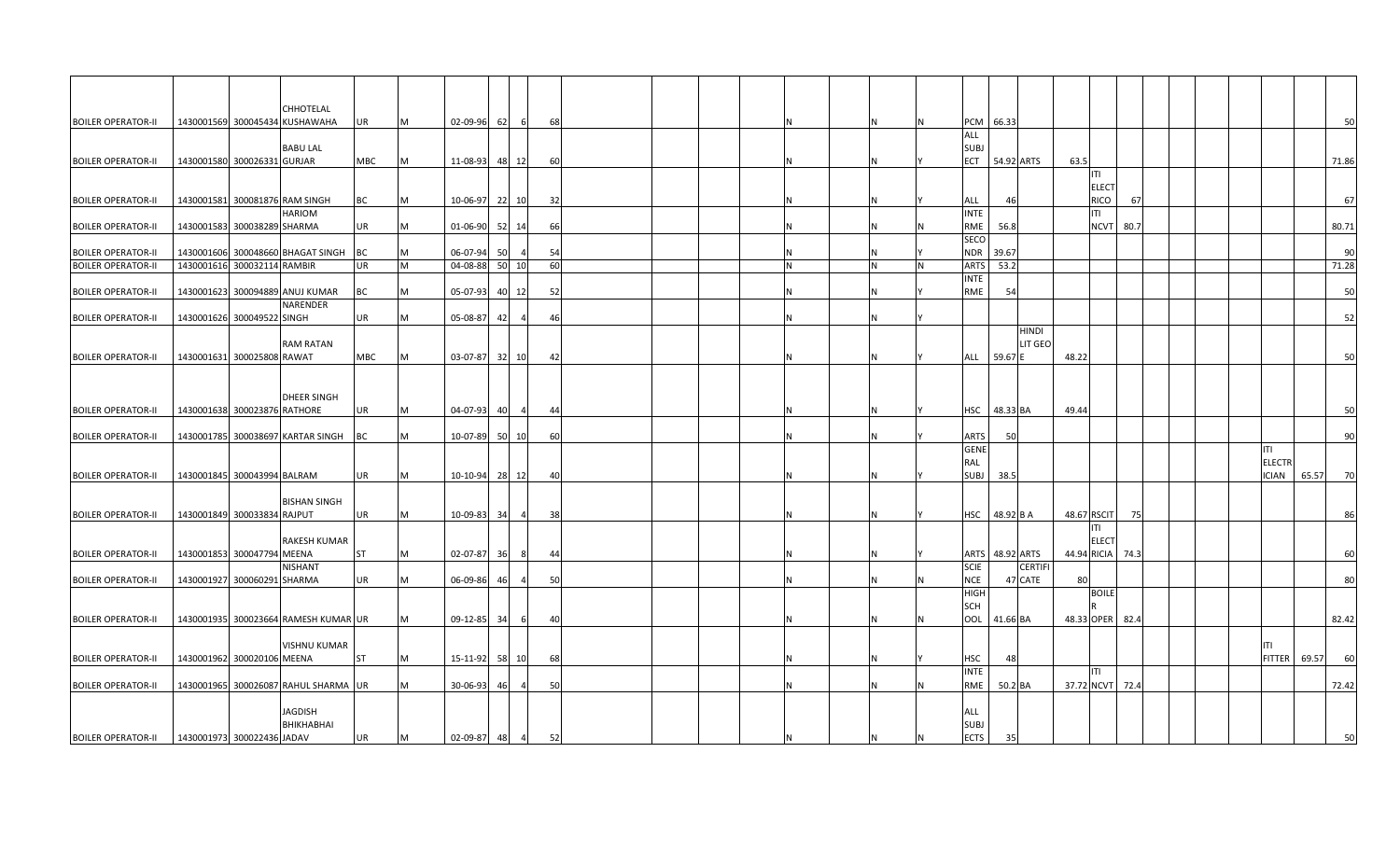|                           |                             |                              | CHHOTELAL                            |            |   |                |    |             |  |  |          |     |   |                            |                                   |       |                    |      |  |               |       |       |
|---------------------------|-----------------------------|------------------------------|--------------------------------------|------------|---|----------------|----|-------------|--|--|----------|-----|---|----------------------------|-----------------------------------|-------|--------------------|------|--|---------------|-------|-------|
| <b>BOILER OPERATOR-II</b> |                             |                              | 1430001569 300045434 KUSHAWAHA       | UR         | M | 02-09-96       | 62 | 68<br>- 6   |  |  |          | N   | N |                            | PCM 66.33                         |       |                    |      |  |               |       | 50    |
|                           |                             |                              | <b>BABU LAL</b>                      |            |   |                |    |             |  |  |          |     |   | ALL<br><b>SUBJ</b>         |                                   |       |                    |      |  |               |       |       |
| <b>BOILER OPERATOR-II</b> |                             | 1430001580 300026331 GURJAR  |                                      | MBC        | M | 11-08-93 48 12 |    | 60          |  |  |          | Ν   |   | ECT                        | 54.92 ARTS                        | 63.5  |                    |      |  |               |       | 71.86 |
|                           |                             |                              |                                      |            |   |                |    |             |  |  |          |     |   |                            |                                   |       | T                  |      |  |               |       |       |
|                           |                             |                              |                                      |            |   |                |    |             |  |  |          |     |   |                            |                                   |       | <b>ELECT</b>       |      |  |               |       |       |
| <b>BOILER OPERATOR-II</b> |                             |                              | 1430001581 300081876 RAM SINGH       | <b>BC</b>  | M | 10-06-97 22 10 |    | 32          |  |  |          | N   |   | ALL                        | 46                                |       | RICO               | 67   |  |               |       | 67    |
| <b>BOILER OPERATOR-II</b> | 1430001583 300038289 SHARMA |                              | HARIOM                               | UR         | M | 01-06-90       | 52 | 66          |  |  |          | N   |   | <b>INTE</b><br>RME         | 56.8                              |       | ITI<br><b>NCVT</b> | 80.7 |  |               |       | 80.71 |
|                           |                             |                              |                                      |            |   |                |    | 14          |  |  |          |     |   | SECO                       |                                   |       |                    |      |  |               |       |       |
| <b>BOILER OPERATOR-II</b> |                             |                              | 1430001606 300048660 BHAGAT SINGH    | BC         | M | 06-07-94       | 50 | 54          |  |  |          | N   |   | <b>NDR</b>                 | 39.67                             |       |                    |      |  |               |       | 90    |
| <b>BOILER OPERATOR-II</b> | 1430001616 300032114 RAMBIR |                              |                                      | UR         | M | 04-08-88       |    | 50 10<br>60 |  |  | IN.      | IN. | N | <b>ARTS</b>                | 53.2                              |       |                    |      |  |               |       | 71.28 |
|                           |                             |                              |                                      |            |   |                |    |             |  |  |          |     |   | <b>INTE</b>                |                                   |       |                    |      |  |               |       |       |
| <b>BOILER OPERATOR-I</b>  |                             |                              | 1430001623 300094889 ANUJ KUMAR      | BC         | M | 05-07-93       |    | 40 12<br>52 |  |  |          | N   |   | RME                        | 54                                |       |                    |      |  |               |       | 50    |
| <b>BOILER OPERATOR-II</b> |                             | 1430001626 300049522 SINGH   | NARENDER                             | UR         | M | 05-08-87       | 42 | 46          |  |  |          | Ν   |   |                            |                                   |       |                    |      |  |               |       | 52    |
|                           |                             |                              |                                      |            |   |                |    |             |  |  |          |     |   |                            | <b>HINDI</b>                      |       |                    |      |  |               |       |       |
|                           |                             |                              | <b>RAM RATAN</b>                     |            |   |                |    |             |  |  |          |     |   |                            | LIT GEO                           |       |                    |      |  |               |       |       |
| <b>BOILER OPERATOR-II</b> |                             | 1430001631 300025808 RAWAT   |                                      | <b>MBC</b> | M | 03-07-87 32 10 |    | 42          |  |  |          | N   |   | ALL                        | 59.67 B                           | 48.22 |                    |      |  |               |       | 50    |
|                           |                             |                              |                                      |            |   |                |    |             |  |  |          |     |   |                            |                                   |       |                    |      |  |               |       |       |
|                           |                             |                              |                                      |            |   |                |    |             |  |  |          |     |   |                            |                                   |       |                    |      |  |               |       |       |
| <b>BOILER OPERATOR-II</b> |                             | 1430001638 300023876 RATHORE | <b>DHEER SINGH</b>                   | UR         | M | 04-07-93       | 40 | 44<br>-4    |  |  |          | N   |   | HSC                        | 48.33 BA                          | 49.44 |                    |      |  |               |       | 50    |
|                           |                             |                              |                                      |            |   |                |    |             |  |  |          |     |   |                            |                                   |       |                    |      |  |               |       |       |
| <b>BOILER OPERATOR-II</b> |                             |                              | 1430001785 300038697 KARTAR SINGH    | BC         | M | 10-07-89       |    | 50 10<br>60 |  |  | <b>N</b> | N   |   | ARTS                       | 50                                |       |                    |      |  |               |       | 90    |
|                           |                             |                              |                                      |            |   |                |    |             |  |  |          |     |   | <b>GENE</b>                |                                   |       |                    |      |  | ITI           |       |       |
|                           |                             |                              |                                      |            |   |                |    |             |  |  |          |     |   | RAL                        |                                   |       |                    |      |  | <b>ELECTR</b> |       |       |
| <b>BOILER OPERATOR-II</b> |                             | 1430001845 300043994 BALRAM  |                                      | UR         | M | 10-10-94 28 12 |    | 40          |  |  |          | N   |   | <b>SUBJ</b>                | 38.5                              |       |                    |      |  | <b>ICIAN</b>  | 65.57 | 70    |
|                           |                             |                              | <b>BISHAN SINGH</b>                  |            |   |                |    |             |  |  |          |     |   |                            |                                   |       |                    |      |  |               |       |       |
| <b>BOILER OPERATOR-II</b> |                             | 1430001849 300033834 RAJPUT  |                                      | UR         | м | 10-09-83       | 34 | 38          |  |  |          | N   |   | HSC                        | 48.92 B A                         |       | 48.67 RSCIT        | 75   |  |               |       | 86    |
|                           |                             |                              |                                      |            |   |                |    |             |  |  |          |     |   |                            |                                   |       | ITI.               |      |  |               |       |       |
|                           |                             |                              | <b>RAKESH KUMAR</b>                  |            |   |                |    |             |  |  |          |     |   |                            |                                   |       | <b>ELECT</b>       |      |  |               |       |       |
| <b>BOILER OPERATOR-I</b>  |                             | 1430001853 300047794 MEENA   | NISHANT                              | <b>ST</b>  | M | 02-07-87 36    |    | 44<br>- 8   |  |  |          | N   |   | <b>SCIE</b>                | ARTS 48.92 ARTS<br><b>CERTIFI</b> |       | 44.94 RICIA        | 74.3 |  |               |       | 60    |
| <b>BOILER OPERATOR-II</b> |                             | 1430001927 300060291 SHARMA  |                                      | UR         | M | 06-09-86       | 46 | 50          |  |  |          | N   |   | <b>NCE</b>                 | 47 CATE                           | 80    |                    |      |  |               |       | 80    |
|                           |                             |                              |                                      |            |   |                |    |             |  |  |          |     |   | <b>HIGH</b>                |                                   |       | <b>BOILE</b>       |      |  |               |       |       |
|                           |                             |                              |                                      |            |   |                |    |             |  |  |          |     |   | <b>SCH</b>                 |                                   |       |                    |      |  |               |       |       |
| <b>BOILER OPERATOR-II</b> |                             |                              | 1430001935 300023664 RAMESH KUMAR UR |            | M | 09-12-85 34    |    | 40<br>- 61  |  |  |          | N   | N | OOL                        | 41.66 BA                          |       | 48.33 OPER         | 82.4 |  |               |       | 82.42 |
|                           |                             |                              | <b>VISHNU KUMAR</b>                  |            |   |                |    |             |  |  |          |     |   |                            |                                   |       |                    |      |  | <b>ITI</b>    |       |       |
| <b>BOILER OPERATOR-II</b> |                             | 1430001962 300020106 MEENA   |                                      | ST         | M | 15-11-92 58 10 |    | 68          |  |  |          | N   |   | HSC                        | 48                                |       |                    |      |  | <b>FITTER</b> | 69.57 | 60    |
|                           |                             |                              |                                      |            |   |                |    |             |  |  |          |     |   | <b>INTE</b>                |                                   |       | <b>ITI</b>         |      |  |               |       |       |
| <b>BOILER OPERATOR-II</b> |                             |                              | 1430001965 300026087 RAHUL SHARMA UR |            | M | 30-06-93       | 46 | 50          |  |  |          | N   |   | RME                        | 50.2 BA                           |       | 37.72 NCVT 72.4    |      |  |               |       | 72.42 |
|                           |                             |                              |                                      |            |   |                |    |             |  |  |          |     |   |                            |                                   |       |                    |      |  |               |       |       |
|                           |                             |                              | JAGDISH                              |            |   |                |    |             |  |  |          |     |   | ALL                        |                                   |       |                    |      |  |               |       |       |
| <b>BOILER OPERATOR-II</b> | 1430001973 300022436 JADAV  |                              | BHIKHABHAI                           | UR         | M | 02-09-87       | 48 | 52<br>-4    |  |  |          | N   | N | <b>SUBJ</b><br><b>ECTS</b> | 35                                |       |                    |      |  |               |       | 50    |
|                           |                             |                              |                                      |            |   |                |    |             |  |  |          |     |   |                            |                                   |       |                    |      |  |               |       |       |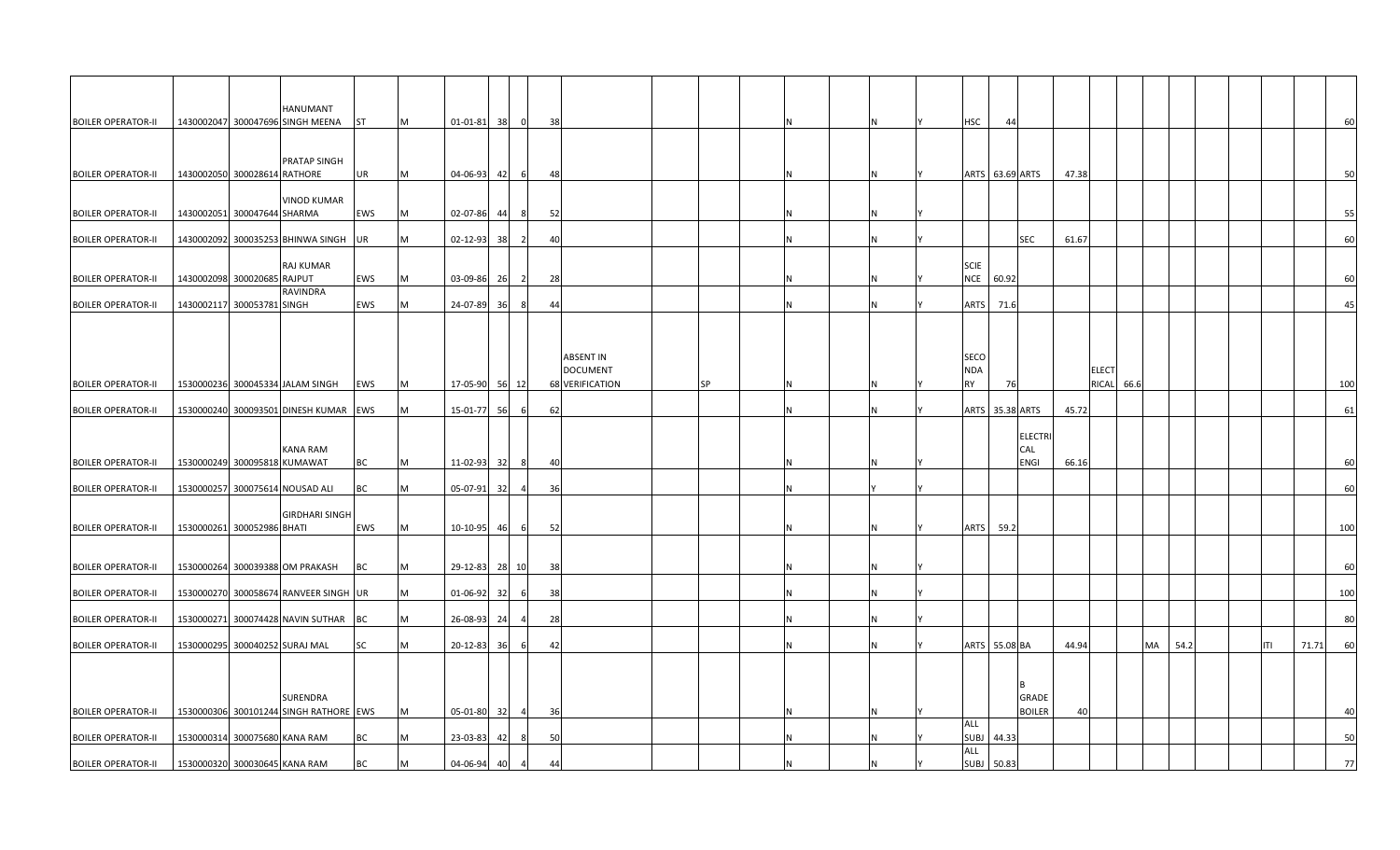|                           | HANUMANT                               |           |   |                 |     |              |           |                 |           |  |  |             |                 |       |              |    |      |  |     |       |     |
|---------------------------|----------------------------------------|-----------|---|-----------------|-----|--------------|-----------|-----------------|-----------|--|--|-------------|-----------------|-------|--------------|----|------|--|-----|-------|-----|
| <b>BOILER OPERATOR-II</b> | 1430002047 300047696 SINGH MEENA       | ST        | M | $01-01-81$ 38 0 |     |              | - 38      |                 |           |  |  | <b>HSC</b>  | 44              |       |              |    |      |  |     |       | 60  |
|                           |                                        |           |   |                 |     |              |           |                 |           |  |  |             |                 |       |              |    |      |  |     |       |     |
|                           | PRATAP SINGH                           |           |   |                 |     |              |           |                 |           |  |  |             |                 |       |              |    |      |  |     |       |     |
| <b>BOILER OPERATOR-II</b> | 1430002050 300028614 RATHORE           | UR        | M | $04 - 06 - 93$  | 42  | 6            | 48        |                 |           |  |  |             | ARTS 63.69 ARTS | 47.38 |              |    |      |  |     |       | 50  |
|                           |                                        |           |   |                 |     |              |           |                 |           |  |  |             |                 |       |              |    |      |  |     |       |     |
|                           | <b>VINOD KUMAR</b>                     |           |   |                 |     |              |           |                 |           |  |  |             |                 |       |              |    |      |  |     |       |     |
| <b>BOILER OPERATOR-II</b> | 1430002051 300047644 SHARMA            | EWS       | M | 02-07-86        | 44  | -81          | - 52      |                 |           |  |  |             |                 |       |              |    |      |  |     |       | 55  |
| <b>BOILER OPERATOR-II</b> | 1430002092 300035253 BHINWA SINGH      | <b>UR</b> | M | 02-12-93        | 38  |              | 40        |                 |           |  |  |             | <b>SEC</b>      | 61.67 |              |    |      |  |     |       | 60  |
|                           |                                        |           |   |                 |     |              |           |                 |           |  |  |             |                 |       |              |    |      |  |     |       |     |
|                           | RAJ KUMAR                              |           |   |                 |     |              |           |                 |           |  |  | <b>SCIE</b> |                 |       |              |    |      |  |     |       |     |
| <b>BOILER OPERATOR-II</b> | 1430002098 300020685 RAJPUT            | EWS       | M | 03-09-86        | 26  |              | - 28      |                 |           |  |  | <b>NCE</b>  | 60.92           |       |              |    |      |  |     |       | 60  |
|                           | RAVINDRA                               |           |   |                 |     |              |           |                 |           |  |  |             |                 |       |              |    |      |  |     |       |     |
| <b>BOILER OPERATOR-II</b> | 1430002117 300053781 SINGH             | EWS       | M | 24-07-89        | 36  |              | 44        |                 |           |  |  | <b>ARTS</b> | 71.6            |       |              |    |      |  |     |       | 45  |
|                           |                                        |           |   |                 |     |              |           |                 |           |  |  |             |                 |       |              |    |      |  |     |       |     |
|                           |                                        |           |   |                 |     |              |           |                 |           |  |  |             |                 |       |              |    |      |  |     |       |     |
|                           |                                        |           |   |                 |     |              |           | ABSENT IN       |           |  |  | <b>SECO</b> |                 |       |              |    |      |  |     |       |     |
|                           |                                        |           |   |                 |     |              |           | DOCUMENT        |           |  |  | <b>NDA</b>  |                 |       | <b>ELECT</b> |    |      |  |     |       |     |
| <b>BOILER OPERATOR-II</b> | 1530000236 300045334 JALAM SINGH       | EWS       | M | 17-05-90 56 12  |     |              |           | 68 VERIFICATION | <b>SP</b> |  |  | <b>RY</b>   | 76              |       | RICAL 66.6   |    |      |  |     |       | 100 |
|                           |                                        |           | M |                 |     | 6I           | 62        |                 |           |  |  |             | ARTS 35.38 ARTS | 45.72 |              |    |      |  |     |       | 61  |
| <b>BOILER OPERATOR-II</b> | 1530000240 300093501 DINESH KUMAR EWS  |           |   | 15-01-77        | 56  |              |           |                 |           |  |  |             |                 |       |              |    |      |  |     |       |     |
|                           |                                        |           |   |                 |     |              |           |                 |           |  |  |             | <b>ELECTRI</b>  |       |              |    |      |  |     |       |     |
|                           | KANA RAM                               |           |   |                 |     |              |           |                 |           |  |  |             | CAL             |       |              |    |      |  |     |       |     |
| <b>BOILER OPERATOR-II</b> | 1530000249 300095818 KUMAWAT           | BС        | M | 11-02-93 32     |     |              | <b>40</b> |                 |           |  |  |             | <b>ENGI</b>     | 66.16 |              |    |      |  |     |       | 60  |
|                           |                                        |           |   |                 |     |              |           |                 |           |  |  |             |                 |       |              |    |      |  |     |       |     |
| <b>BOILER OPERATOR-II</b> | 1530000257 300075614 NOUSAD ALI        | BC        | M | 05-07-91        | 32  |              | 36        |                 |           |  |  |             |                 |       |              |    |      |  |     |       | 60  |
|                           | <b>GIRDHARI SINGH</b>                  |           |   |                 |     |              |           |                 |           |  |  |             |                 |       |              |    |      |  |     |       |     |
| <b>BOILER OPERATOR-II</b> | 1530000261 300052986 BHATI             | EWS       | M | 10-10-95        | 46  | 6            | 52        |                 |           |  |  | <b>ARTS</b> | 59.2            |       |              |    |      |  |     |       | 100 |
|                           |                                        |           |   |                 |     |              |           |                 |           |  |  |             |                 |       |              |    |      |  |     |       |     |
|                           |                                        |           |   |                 |     |              |           |                 |           |  |  |             |                 |       |              |    |      |  |     |       |     |
| <b>BOILER OPERATOR-II</b> | 1530000264 300039388 OM PRAKASH        | ВC        | M | 29-12-83 28 10  |     |              | 38        |                 |           |  |  |             |                 |       |              |    |      |  |     |       | 60  |
| <b>BOILER OPERATOR-II</b> | 1530000270 300058674 RANVEER SINGH UR  |           | M | 01-06-92        |     |              | 38        |                 |           |  |  |             |                 |       |              |    |      |  |     |       | 100 |
|                           |                                        |           |   |                 | -32 |              |           |                 |           |  |  |             |                 |       |              |    |      |  |     |       |     |
| <b>BOILER OPERATOR-II</b> | 1530000271 300074428 NAVIN SUTHAR BC   |           | M | 26-08-93        | 24  |              | 28        |                 |           |  |  |             |                 |       |              |    |      |  |     |       | 80  |
|                           |                                        |           |   |                 |     |              |           |                 |           |  |  |             |                 |       |              |    |      |  |     |       |     |
| <b>BOILER OPERATOR-II</b> | 1530000295 300040252 SURAJ MAL         | SC        | M | 20-12-83        | 36  | $\mathsf{f}$ | 42        |                 |           |  |  |             | ARTS 55.08 BA   | 44.94 |              | MA | 54.2 |  | ITI | 71.71 | 60  |
|                           |                                        |           |   |                 |     |              |           |                 |           |  |  |             |                 |       |              |    |      |  |     |       |     |
|                           |                                        |           |   |                 |     |              |           |                 |           |  |  |             |                 |       |              |    |      |  |     |       |     |
|                           | SURENDRA                               |           |   |                 |     |              |           |                 |           |  |  |             | GRADE           |       |              |    |      |  |     |       |     |
| <b>BOILER OPERATOR-II</b> | 1530000306 300101244 SINGH RATHORE EWS |           | M | 05-01-80        | 32  |              | - 36      |                 |           |  |  |             | <b>BOILER</b>   | 40    |              |    |      |  |     |       | 4(  |
|                           |                                        |           |   |                 |     |              |           |                 |           |  |  | ALL         |                 |       |              |    |      |  |     |       |     |
| <b>BOILER OPERATOR-II</b> | 1530000314 300075680 KANA RAM          | вc        | M | 23-03-83        | 42  |              | 50        |                 |           |  |  |             | SUBJ 44.33      |       |              |    |      |  |     |       | 50  |
| <b>BOILER OPERATOR-II</b> | 1530000320 300030645 KANA RAM          | ВC        | M | 04-06-94        | 40  |              | 44        |                 |           |  |  | ALL         | SUBJ 50.83      |       |              |    |      |  |     |       | 77  |
|                           |                                        |           |   |                 |     |              |           |                 |           |  |  |             |                 |       |              |    |      |  |     |       |     |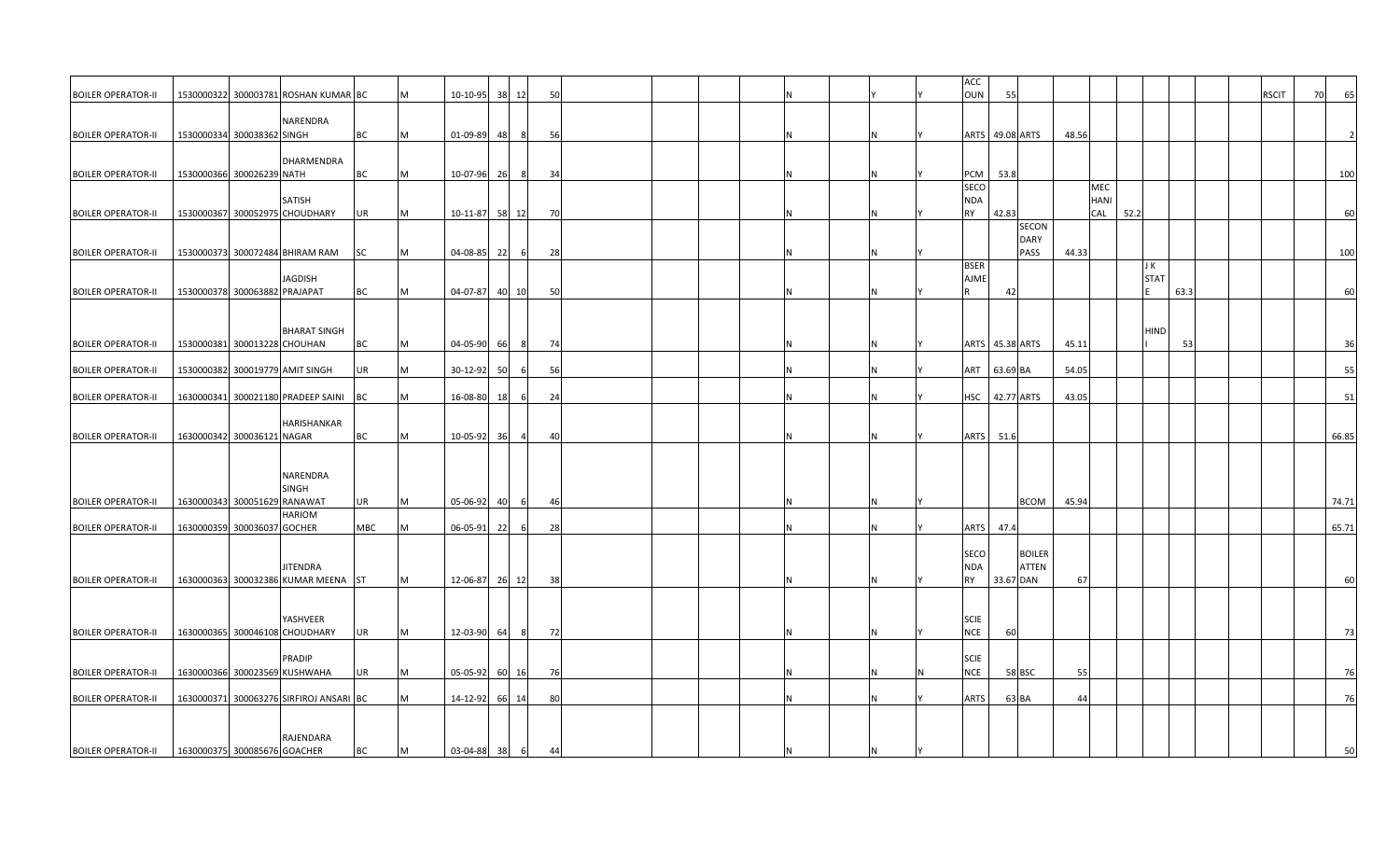|                           |                               |                                         |            |   |                |    |                |      |  |  |   |   | ACC             |          |                             |       |      |             |      |      |              |    |       |
|---------------------------|-------------------------------|-----------------------------------------|------------|---|----------------|----|----------------|------|--|--|---|---|-----------------|----------|-----------------------------|-------|------|-------------|------|------|--------------|----|-------|
| <b>BOILER OPERATOR-II</b> |                               | 1530000322 300003781 ROSHAN KUMAR BC    |            | M | 10-10-95 38 12 |    |                | 50   |  |  |   |   | OUN             | 55       |                             |       |      |             |      |      | <b>RSCIT</b> | 70 | 65    |
|                           |                               | NARENDRA                                |            |   |                |    |                |      |  |  |   |   |                 |          |                             |       |      |             |      |      |              |    |       |
| <b>BOILER OPERATOR-II</b> | 1530000334 300038362 SINGH    |                                         | <b>BC</b>  | M | 01-09-89 48    |    | 8              | 56   |  |  |   | N | ARTS 49.08 ARTS |          |                             | 48.56 |      |             |      |      |              |    |       |
|                           |                               |                                         |            |   |                |    |                |      |  |  |   |   |                 |          |                             |       |      |             |      |      |              |    |       |
| <b>BOILER OPERATOR-II</b> | 1530000366 300026239 NATH     | DHARMENDRA                              | BC         | M | 10-07-96 26    |    | -8             | 34   |  |  |   | N | PCM             | 53.8     |                             |       |      |             |      |      |              |    | 100   |
|                           |                               |                                         |            |   |                |    |                |      |  |  |   |   | SECO            |          |                             |       | MEC  |             |      |      |              |    |       |
|                           |                               | SATISH                                  |            |   |                |    |                |      |  |  |   |   | NDA             |          |                             |       | HANI |             |      |      |              |    |       |
| <b>BOILER OPERATOR-II</b> |                               | 1530000367 300052975 CHOUDHARY          | UR         | M | 10-11-87 58 12 |    |                | 70   |  |  |   | N | RY              | 42.83    |                             |       | CAL  | 52.2        |      |      |              |    | 60    |
|                           |                               |                                         |            |   |                |    |                |      |  |  |   |   |                 |          | <b>SECON</b><br><b>DARY</b> |       |      |             |      |      |              |    |       |
| <b>BOILER OPERATOR-II</b> |                               | 1530000373 300072484 BHIRAM RAM         | <b>SC</b>  | M | 04-08-85       | 22 | 6              | - 28 |  |  |   | N |                 |          | PASS                        | 44.33 |      |             |      |      |              |    | 100   |
|                           |                               |                                         |            |   |                |    |                |      |  |  |   |   | <b>BSER</b>     |          |                             |       |      | J K         |      |      |              |    |       |
|                           |                               | JAGDISH                                 |            |   |                |    |                |      |  |  |   |   | <b>AJME</b>     |          |                             |       |      | <b>STAT</b> |      |      |              |    |       |
| <b>BOILER OPERATOR-II</b> | 1530000378 300063882 PRAJAPAT |                                         | BC         | M | 04-07-87 40 10 |    |                | 50   |  |  | N | N |                 | 42       |                             |       |      |             | 63.3 |      |              |    | 60    |
|                           |                               |                                         |            |   |                |    |                |      |  |  |   |   |                 |          |                             |       |      |             |      |      |              |    |       |
|                           |                               | <b>BHARAT SINGH</b>                     |            |   |                |    |                |      |  |  |   |   |                 |          |                             |       |      | <b>HIND</b> |      |      |              |    |       |
| <b>BOILER OPERATOR-II</b> | 1530000381 300013228 CHOUHAN  |                                         | BC         | M | 04-05-90 66    |    | - 8            | - 74 |  |  |   | N | ARTS 45.38 ARTS |          |                             | 45.11 |      |             |      | - 53 |              |    | 36    |
|                           |                               |                                         |            |   |                |    |                |      |  |  |   |   |                 |          |                             |       |      |             |      |      |              |    |       |
| <b>BOILER OPERATOR-II</b> |                               | 1530000382 300019779 AMIT SINGH         | UR         | M | 30-12-92       | 50 |                | 56   |  |  |   | N | ART             | 63.69 BA |                             | 54.05 |      |             |      |      |              |    | 55    |
| <b>BOILER OPERATOR-II</b> |                               | 1630000341 300021180 PRADEEP SAINI      | <b>BC</b>  | M | 16-08-80 18    |    |                | 24   |  |  | Ν | N |                 |          | <b>HSC</b> 42.77 ARTS       | 43.05 |      |             |      |      |              |    | 51    |
|                           |                               |                                         |            |   |                |    |                |      |  |  |   |   |                 |          |                             |       |      |             |      |      |              |    |       |
|                           |                               | HARISHANKAR                             |            |   |                |    |                |      |  |  |   |   |                 |          |                             |       |      |             |      |      |              |    |       |
| <b>BOILER OPERATOR-II</b> | 1630000342 300036121 NAGAR    |                                         | BC         | M | 10-05-92 36    |    | -4             | 40   |  |  | N | N | <b>ARTS</b>     | 51.6     |                             |       |      |             |      |      |              |    | 66.85 |
|                           |                               |                                         |            |   |                |    |                |      |  |  |   |   |                 |          |                             |       |      |             |      |      |              |    |       |
|                           |                               | NARENDRA                                |            |   |                |    |                |      |  |  |   |   |                 |          |                             |       |      |             |      |      |              |    |       |
|                           |                               | SINGH                                   |            |   |                |    |                |      |  |  |   |   |                 |          |                             |       |      |             |      |      |              |    |       |
| <b>BOILER OPERATOR-II</b> | 1630000343 300051629 RANAWAT  |                                         | UR         | M | 05-06-92       | 40 | 6              | 46   |  |  |   | Ν |                 |          | <b>BCOM</b>                 | 45.94 |      |             |      |      |              |    | 74.71 |
| <b>BOILER OPERATOR-II</b> | 1630000359 300036037 GOCHER   | <b>HARIOM</b>                           | <b>MBC</b> | M | $06 - 05 - 91$ | 22 | -6             | 28   |  |  | N | N | <b>ARTS</b>     | 47.4     |                             |       |      |             |      |      |              |    | 65.71 |
|                           |                               |                                         |            |   |                |    |                |      |  |  |   |   |                 |          |                             |       |      |             |      |      |              |    |       |
|                           |                               |                                         |            |   |                |    |                |      |  |  |   |   | SECO            |          | <b>BOILER</b>               |       |      |             |      |      |              |    |       |
|                           |                               | JITENDRA                                |            |   |                |    |                |      |  |  |   |   | NDA             |          | ATTEN                       |       |      |             |      |      |              |    |       |
| <b>BOILER OPERATOR-II</b> |                               | 1630000363 300032386 KUMAR MEENA ST     |            | M | 12-06-87 26 12 |    |                | 38   |  |  | N | N | <b>RY</b>       |          | 33.67 DAN                   | 67    |      |             |      |      |              |    | 60    |
|                           |                               |                                         |            |   |                |    |                |      |  |  |   |   |                 |          |                             |       |      |             |      |      |              |    |       |
|                           |                               | YASHVEER                                |            |   |                |    |                |      |  |  |   |   | <b>SCIE</b>     |          |                             |       |      |             |      |      |              |    |       |
| <b>BOILER OPERATOR-II</b> |                               | 1630000365 300046108 CHOUDHARY          | <b>UR</b>  | M | 12-03-90 64    |    | 8 <sup>l</sup> | 72   |  |  |   | N | <b>NCE</b>      | 60       |                             |       |      |             |      |      |              |    | 73    |
|                           |                               |                                         |            |   |                |    |                |      |  |  |   |   |                 |          |                             |       |      |             |      |      |              |    |       |
|                           |                               | PRADIP                                  |            |   |                |    |                |      |  |  |   |   | <b>SCIE</b>     |          |                             |       |      |             |      |      |              |    |       |
| <b>BOILER OPERATOR-II</b> |                               | 1630000366 300023569 KUSHWAHA           | UR         | M | 05-05-92       |    | 60 16          | - 76 |  |  |   | N | <b>NCE</b>      |          | 58 BSC                      | 55    |      |             |      |      |              |    | 76    |
| <b>BOILER OPERATOR-II</b> |                               | 1630000371 300063276 SIRFIROJ ANSARI BC |            | M | 14-12-92 66    |    | 14             | 80   |  |  |   | N | <b>ARTS</b>     |          | 63 BA                       | 44    |      |             |      |      |              |    | 76    |
|                           |                               |                                         |            |   |                |    |                |      |  |  |   |   |                 |          |                             |       |      |             |      |      |              |    |       |
|                           |                               |                                         |            |   |                |    |                |      |  |  |   |   |                 |          |                             |       |      |             |      |      |              |    |       |
|                           | 1630000375 300085676 GOACHER  | RAJENDARA                               | BC         | M | 03-04-88 38    |    | -6             | 44   |  |  |   |   |                 |          |                             |       |      |             |      |      |              |    | 50    |
| <b>BOILER OPERATOR-II</b> |                               |                                         |            |   |                |    |                |      |  |  |   |   |                 |          |                             |       |      |             |      |      |              |    |       |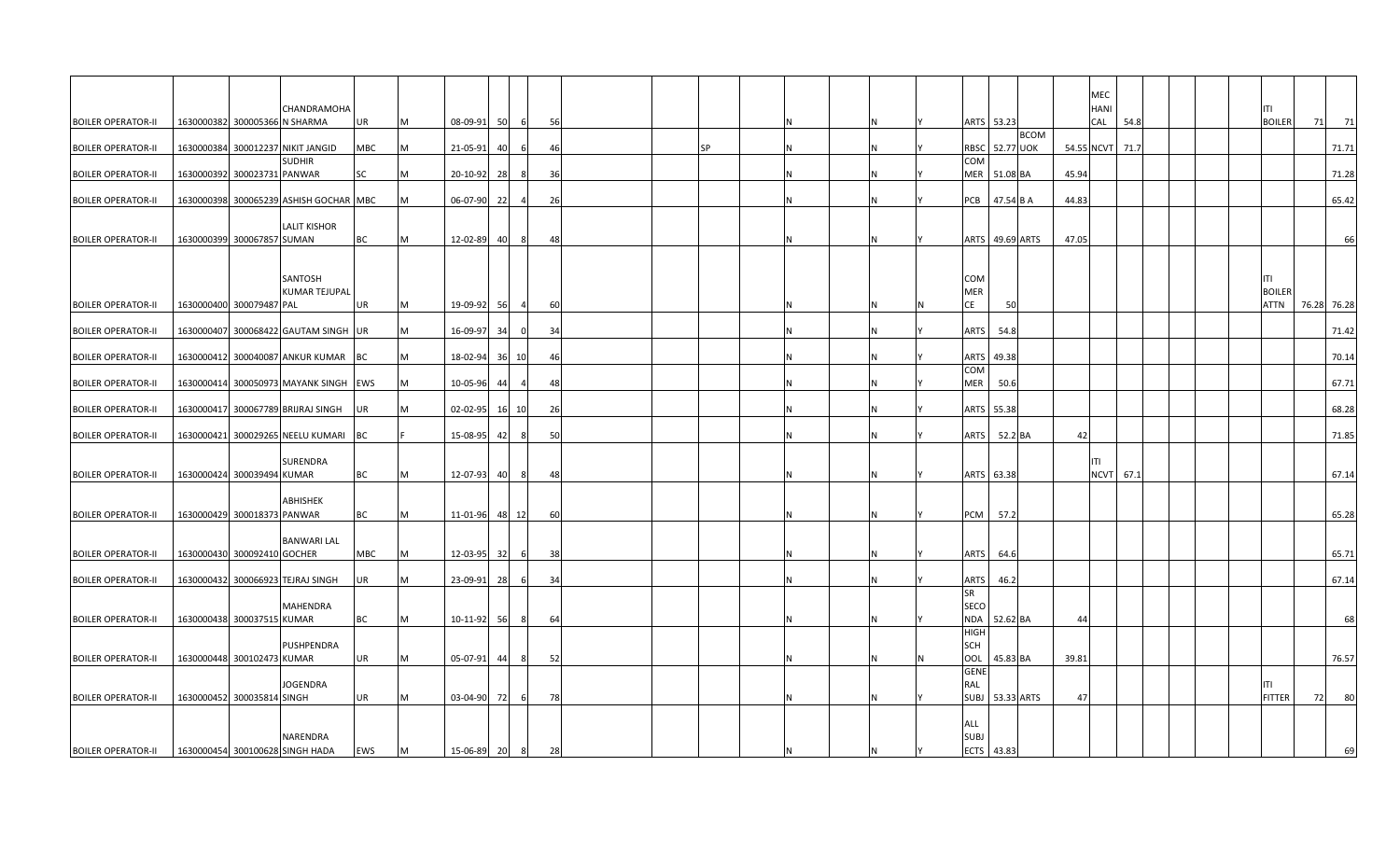|                           |                             |                                        |            |   |             |    |                |    |           |  |   |   |                           |                 | MEC  |           |  |               |    |             |
|---------------------------|-----------------------------|----------------------------------------|------------|---|-------------|----|----------------|----|-----------|--|---|---|---------------------------|-----------------|------|-----------|--|---------------|----|-------------|
|                           |                             | CHANDRAMOHA                            |            |   |             |    |                |    |           |  |   |   |                           |                 | HANI |           |  |               |    |             |
| <b>BOILER OPERATOR-II</b> |                             | 1630000382 300005366 N SHARMA          | UR         | M | $08-09-91$  | 50 | 6              | 56 |           |  | N |   | ARTS 53.23                |                 | CAL  | 54.8      |  | <b>BOILER</b> | 71 | 71          |
|                           |                             |                                        |            |   |             |    |                |    |           |  |   |   | <b>BCOM</b>               |                 |      |           |  |               |    |             |
| <b>BOILER OPERATOR-II</b> |                             | 1630000384 300012237 NIKIT JANGID      | MBC        | M | 21-05-91    | 40 | -6             | 46 | <b>SP</b> |  | N |   | <b>RBSC</b> 52.77 UOK     | 54.55 NCVT 71.7 |      |           |  |               |    | 71.71       |
|                           |                             | <b>SUDHIR</b>                          |            |   |             |    |                |    |           |  |   |   | COM                       |                 |      |           |  |               |    |             |
| <b>BOILER OPERATOR-II</b> | 1630000392 300023731 PANWAR |                                        | SC         | М | 20-10-92    | 28 |                | 36 |           |  | N |   | MER 51.08 BA              | 45.94           |      |           |  |               |    | 71.28       |
|                           |                             |                                        |            |   |             |    |                |    |           |  |   |   |                           |                 |      |           |  |               |    |             |
| <b>BOILER OPERATOR-II</b> |                             | 1630000398 300065239 ASHISH GOCHAR MBC |            | M | 06-07-90    | 22 |                | 26 |           |  | N |   | PCB<br>47.54 B A          | 44.83           |      |           |  |               |    | 65.42       |
|                           |                             |                                        |            |   |             |    |                |    |           |  |   |   |                           |                 |      |           |  |               |    |             |
|                           |                             | <b>LALIT KISHOR</b>                    |            |   |             |    |                |    |           |  |   |   |                           |                 |      |           |  |               |    |             |
| <b>BOILER OPERATOR-II</b> | 1630000399 300067857 SUMAN  |                                        | BC         | M | 12-02-89    | 40 | 8              | 48 |           |  | N |   | ARTS 49.69 ARTS           | 47.09           |      |           |  |               |    | 66          |
|                           |                             |                                        |            |   |             |    |                |    |           |  |   |   |                           |                 |      |           |  |               |    |             |
|                           |                             |                                        |            |   |             |    |                |    |           |  |   |   |                           |                 |      |           |  |               |    |             |
|                           |                             | SANTOSH                                |            |   |             |    |                |    |           |  |   |   | COM                       |                 |      |           |  | ITI           |    |             |
|                           |                             | <b>KUMAR TEJUPAL</b>                   |            |   |             |    |                |    |           |  |   |   | <b>MER</b>                |                 |      |           |  | <b>BOILER</b> |    |             |
| <b>BOILER OPERATOR-II</b> | 1630000400 300079487 PAL    |                                        | UR         | M | 19-09-92    | 56 | $\overline{4}$ | 60 |           |  | N | N | CE<br>50                  |                 |      |           |  | <b>ATTN</b>   |    | 76.28 76.28 |
|                           |                             |                                        |            |   |             |    |                |    |           |  |   |   |                           |                 |      |           |  |               |    |             |
| <b>BOILER OPERATOR-II</b> |                             | 1630000407 300068422 GAUTAM SINGH UR   |            | М | 16-09-97    | 34 | $\Omega$       | 34 |           |  | N |   | ARTS<br>54.8              |                 |      |           |  |               |    | 71.42       |
|                           |                             |                                        |            |   |             |    |                |    |           |  |   |   |                           |                 |      |           |  |               |    |             |
| <b>BOILER OPERATOR-II</b> |                             | 1630000412 300040087 ANKUR KUMAR       | BC         | М | 18-02-94    | 36 | 10             | 46 |           |  | N |   | ARTS 49.38                |                 |      |           |  |               |    | 70.14       |
|                           |                             |                                        |            |   |             |    |                |    |           |  |   |   | COM                       |                 |      |           |  |               |    |             |
| <b>BOILER OPERATOR-II</b> |                             | 1630000414 300050973 MAYANK SINGH      | <b>EWS</b> | М | 10-05-96    | 44 |                | 48 |           |  | N |   | MER<br>50.6               |                 |      |           |  |               |    | 67.71       |
|                           |                             |                                        |            |   |             |    |                |    |           |  |   |   |                           |                 |      |           |  |               |    |             |
| <b>BOILER OPERATOR-II</b> |                             | 1630000417 300067789 BRIJRAJ SINGH     | UR         | M | 02-02-95    | 16 | 10             | 26 |           |  | N |   | ARTS<br>55.38             |                 |      |           |  |               |    | 68.28       |
|                           |                             |                                        |            |   |             |    |                |    |           |  |   |   |                           |                 |      |           |  |               |    |             |
| <b>BOILER OPERATOR-II</b> |                             | 1630000421 300029265 NEELU KUMARI BC   |            |   | $15-08-95$  | 42 | -8             | 50 |           |  | N |   | <b>ARTS</b><br>52.2 BA    | 42              |      |           |  |               |    | 71.85       |
|                           |                             |                                        |            |   |             |    |                |    |           |  |   |   |                           |                 |      |           |  |               |    |             |
|                           |                             | <b>SURENDRA</b>                        |            |   |             |    |                |    |           |  |   |   |                           |                 | ΤL   |           |  |               |    |             |
| <b>BOILER OPERATOR-II</b> | 1630000424 300039494 KUMAR  |                                        | BC         | М | 12-07-93    | 40 | 8              | 48 |           |  | N |   | ARTS 63.38                |                 |      | NCVT 67.1 |  |               |    | 67.14       |
|                           |                             |                                        |            |   |             |    |                |    |           |  |   |   |                           |                 |      |           |  |               |    |             |
|                           |                             | ABHISHEK                               |            |   |             |    |                |    |           |  |   |   |                           |                 |      |           |  |               |    |             |
| <b>BOILER OPERATOR-II</b> | 1630000429 300018373 PANWAR |                                        | BC         | M | 11-01-96    | 48 | 12             | 60 |           |  | N |   | PCM<br>57.2               |                 |      |           |  |               |    | 65.28       |
|                           |                             |                                        |            |   |             |    |                |    |           |  |   |   |                           |                 |      |           |  |               |    |             |
|                           |                             | <b>BANWARI LAL</b>                     |            |   |             |    |                |    |           |  |   |   |                           |                 |      |           |  |               |    |             |
| <b>BOILER OPERATOR-II</b> | 1630000430 300092410 GOCHER |                                        | MBC        | М | 12-03-95    | 32 | -61            | 38 |           |  | N |   | <b>ARTS</b><br>64.6       |                 |      |           |  |               |    | 65.71       |
|                           |                             |                                        |            |   |             |    |                |    |           |  |   |   |                           |                 |      |           |  |               |    |             |
| <b>BOILER OPERATOR-II</b> |                             | 1630000432 300066923 TEJRAJ SINGH      | UR         | M | $23-09-91$  | 28 | -6             | 34 |           |  | N |   | <b>ARTS</b><br>46.2       |                 |      |           |  |               |    | 67.14       |
|                           |                             |                                        |            |   |             |    |                |    |           |  |   |   | SR                        |                 |      |           |  |               |    |             |
|                           |                             | <b>MAHENDRA</b>                        |            |   |             |    |                |    |           |  |   |   | SECO                      |                 |      |           |  |               |    |             |
| <b>BOILER OPERATOR-II</b> | 1630000438 300037515 KUMAR  |                                        | BC         | М | 10-11-92    | 56 | -81            | 64 |           |  | N |   | <b>NDA</b><br>52.62 BA    | 44              |      |           |  |               |    | 68          |
|                           |                             |                                        |            |   |             |    |                |    |           |  |   |   | <b>HIGH</b>               |                 |      |           |  |               |    |             |
|                           |                             | PUSHPENDRA                             |            |   |             |    |                |    |           |  |   |   | SCH                       |                 |      |           |  |               |    |             |
| <b>BOILER OPERATOR-II</b> | 1630000448 300102473 KUMAR  |                                        | UR         | М | $05-07-91$  | 44 | - 8            | 52 |           |  | Ν |   | OOL<br>45.83 BA           | 39.81           |      |           |  |               |    | 76.57       |
|                           |                             |                                        |            |   |             |    |                |    |           |  |   |   | <b>GENE</b>               |                 |      |           |  |               |    |             |
|                           |                             | <b>JOGENDRA</b>                        |            |   |             |    |                |    |           |  |   |   | RAL                       |                 |      |           |  | ITI           |    |             |
| <b>BOILER OPERATOR-II</b> | 1630000452 300035814 SINGH  |                                        | UR         | M | 03-04-90    | 72 | 6              | 78 |           |  | N |   | <b>SUBJ</b><br>53.33 ARTS | 47              |      |           |  | <b>FITTER</b> | 72 | 80          |
|                           |                             |                                        |            |   |             |    |                |    |           |  |   |   |                           |                 |      |           |  |               |    |             |
|                           |                             |                                        |            |   |             |    |                |    |           |  |   |   | ALL                       |                 |      |           |  |               |    |             |
|                           |                             | NARENDRA                               |            |   |             |    |                |    |           |  |   |   | SUBJ                      |                 |      |           |  |               |    |             |
| <b>BOILER OPERATOR-II</b> |                             | 1630000454 300100628 SINGH HADA        | EWS        | M | 15-06-89 20 |    | 8              | 28 |           |  |   |   | <b>ECTS</b><br>43.83      |                 |      |           |  |               |    | 69          |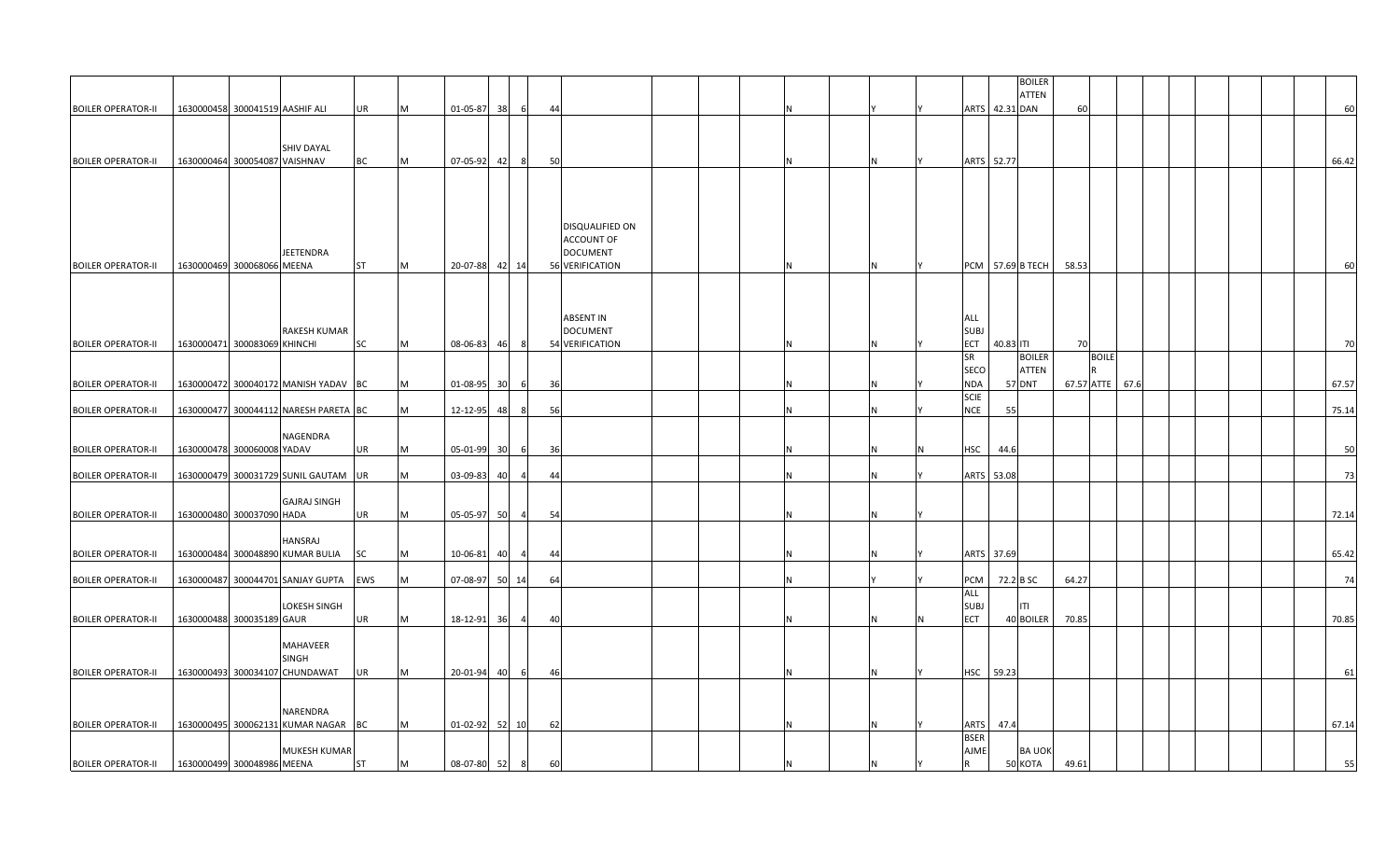|                           |                              |                                                 |           |   |                |    |                |    |                                                 |  |  |   |   |                                 |            | <b>BOILER</b>           |       |                 |  |  |  |       |
|---------------------------|------------------------------|-------------------------------------------------|-----------|---|----------------|----|----------------|----|-------------------------------------------------|--|--|---|---|---------------------------------|------------|-------------------------|-------|-----------------|--|--|--|-------|
| <b>BOILER OPERATOR-II</b> |                              | 1630000458 300041519 AASHIF ALI                 | UR        | M | 01-05-87 38    |    | 6              | 44 |                                                 |  |  |   |   |                                 |            | ATTEN<br>ARTS 42.31 DAN | 60    |                 |  |  |  | 60    |
|                           |                              |                                                 |           |   |                |    |                |    |                                                 |  |  |   |   |                                 |            |                         |       |                 |  |  |  |       |
|                           |                              | <b>SHIV DAYAL</b>                               |           |   |                |    |                |    |                                                 |  |  |   |   |                                 |            |                         |       |                 |  |  |  |       |
| <b>BOILER OPERATOR-II</b> |                              | 1630000464 300054087 VAISHNAV                   | ВC        | M | 07-05-92 42    |    | 8 <sup>8</sup> | 50 |                                                 |  |  | N |   |                                 | ARTS 52.77 |                         |       |                 |  |  |  | 66.42 |
|                           |                              |                                                 |           |   |                |    |                |    | DISQUALIFIED ON<br><b>ACCOUNT OF</b>            |  |  |   |   |                                 |            |                         |       |                 |  |  |  |       |
|                           |                              | JEETENDRA                                       |           |   |                |    |                |    | <b>DOCUMENT</b>                                 |  |  |   |   |                                 |            |                         |       |                 |  |  |  |       |
| <b>BOILER OPERATOR-II</b> | 1630000469 300068066 MEENA   |                                                 | ST        | М | 20-07-88 42 14 |    |                |    | 56 VERIFICATION                                 |  |  | N |   |                                 |            | PCM 57.69 B TECH        | 58.53 |                 |  |  |  | 60    |
| <b>BOILER OPERATOR-II</b> | 1630000471 300083069 KHINCHI | <b>RAKESH KUMAR</b>                             | SC        | М | 08-06-83       | 46 | - 81           |    | ABSENT IN<br><b>DOCUMENT</b><br>54 VERIFICATION |  |  | N |   | all<br><b>SUBJ</b><br>ECT<br>SR | 40.83 ITI  | <b>BOILER</b>           | 70    | <b>BOILE</b>    |  |  |  | 70    |
|                           |                              |                                                 |           |   |                |    |                |    |                                                 |  |  |   |   | SECO                            |            | ATTEN                   |       |                 |  |  |  |       |
| <b>BOILER OPERATOR-II</b> |                              | 1630000472 300040172 MANISH YADAV BC            |           | М | 01-08-95 30    |    | 6              | 36 |                                                 |  |  | N |   | <b>NDA</b><br><b>SCIE</b>       |            | <b>57 DNT</b>           |       | 67.57 ATTE 67.6 |  |  |  | 67.57 |
| <b>BOILER OPERATOR-II</b> |                              | 1630000477 300044112 NARESH PARETA BC           |           | M | 12-12-95       | 48 |                | 56 |                                                 |  |  | Ν |   | <b>NCE</b>                      | 55         |                         |       |                 |  |  |  | 75.14 |
| <b>BOILER OPERATOR-II</b> | 1630000478 300060008 YADAV   | NAGENDRA                                        | UR        | м | 05-01-99 30    |    | - 6            | 36 |                                                 |  |  | N | N | HSC                             | 44.6       |                         |       |                 |  |  |  | 50    |
|                           |                              |                                                 |           |   |                |    |                |    |                                                 |  |  |   |   |                                 |            |                         |       |                 |  |  |  |       |
| <b>BOILER OPERATOR-II</b> |                              | 1630000479 300031729 SUNIL GAUTAM UR            |           | м | 03-09-83       | 40 |                | 44 |                                                 |  |  | N |   |                                 | ARTS 53.08 |                         |       |                 |  |  |  | 73    |
| <b>BOILER OPERATOR-II</b> | 1630000480 300037090 HADA    | <b>GAJRAJ SINGH</b>                             | UR        | М | 05-05-97 50    |    | $\overline{4}$ | 54 |                                                 |  |  | N |   |                                 |            |                         |       |                 |  |  |  | 72.14 |
|                           |                              | HANSRAJ                                         |           |   |                |    |                |    |                                                 |  |  |   |   |                                 |            |                         |       |                 |  |  |  |       |
| <b>BOILER OPERATOR-II</b> |                              | 1630000484 300048890 KUMAR BULIA                | SC        | М | 10-06-81       | 40 | $\overline{a}$ | 44 |                                                 |  |  | N |   |                                 | ARTS 37.69 |                         |       |                 |  |  |  | 65.42 |
| <b>BOILER OPERATOR-II</b> |                              | 1630000487 300044701 SANJAY GUPTA               | EWS       | М | 07-08-97       | 50 | 14             | 64 |                                                 |  |  |   |   | PCM                             |            | 72.2 B SC               | 64.27 |                 |  |  |  | 74    |
|                           |                              | <b>LOKESH SINGH</b>                             |           |   |                |    |                |    |                                                 |  |  |   |   | ALL<br><b>SUBJ</b>              |            | ITI                     |       |                 |  |  |  |       |
| <b>BOILER OPERATOR-II</b> | 1630000488 300035189 GAUR    |                                                 | UR        | М | 18-12-91 36    |    | $\sim$ 4       | 40 |                                                 |  |  | N |   | ECT                             |            | 40 BOILER               | 70.85 |                 |  |  |  | 70.85 |
|                           |                              | MAHAVEER<br><b>SINGH</b>                        |           |   |                |    |                |    |                                                 |  |  |   |   |                                 |            |                         |       |                 |  |  |  |       |
| <b>BOILER OPERATOR-II</b> |                              | 1630000493 300034107 CHUNDAWAT                  | UR        | M | 20-01-94       | 40 | 6              | 46 |                                                 |  |  | N |   | HSC                             | 59.23      |                         |       |                 |  |  |  | 61    |
| <b>BOILER OPERATOR-II</b> |                              | NARENDRA<br>1630000495 300062131 KUMAR NAGAR BC |           | M | 01-02-92 52    |    | 10             | 62 |                                                 |  |  | N |   | ARTS                            | 47.4       |                         |       |                 |  |  |  | 67.14 |
|                           |                              | MUKESH KUMAR                                    |           |   |                |    |                |    |                                                 |  |  |   |   | <b>BSER</b><br>AJME             |            | <b>BA UOK</b>           |       |                 |  |  |  |       |
| <b>BOILER OPERATOR-II</b> | 1630000499 300048986 MEENA   |                                                 | <b>ST</b> | М | 08-07-80 52    |    | 8              | 60 |                                                 |  |  | N |   | R.                              |            | 50 KOTA                 | 49.61 |                 |  |  |  | 55    |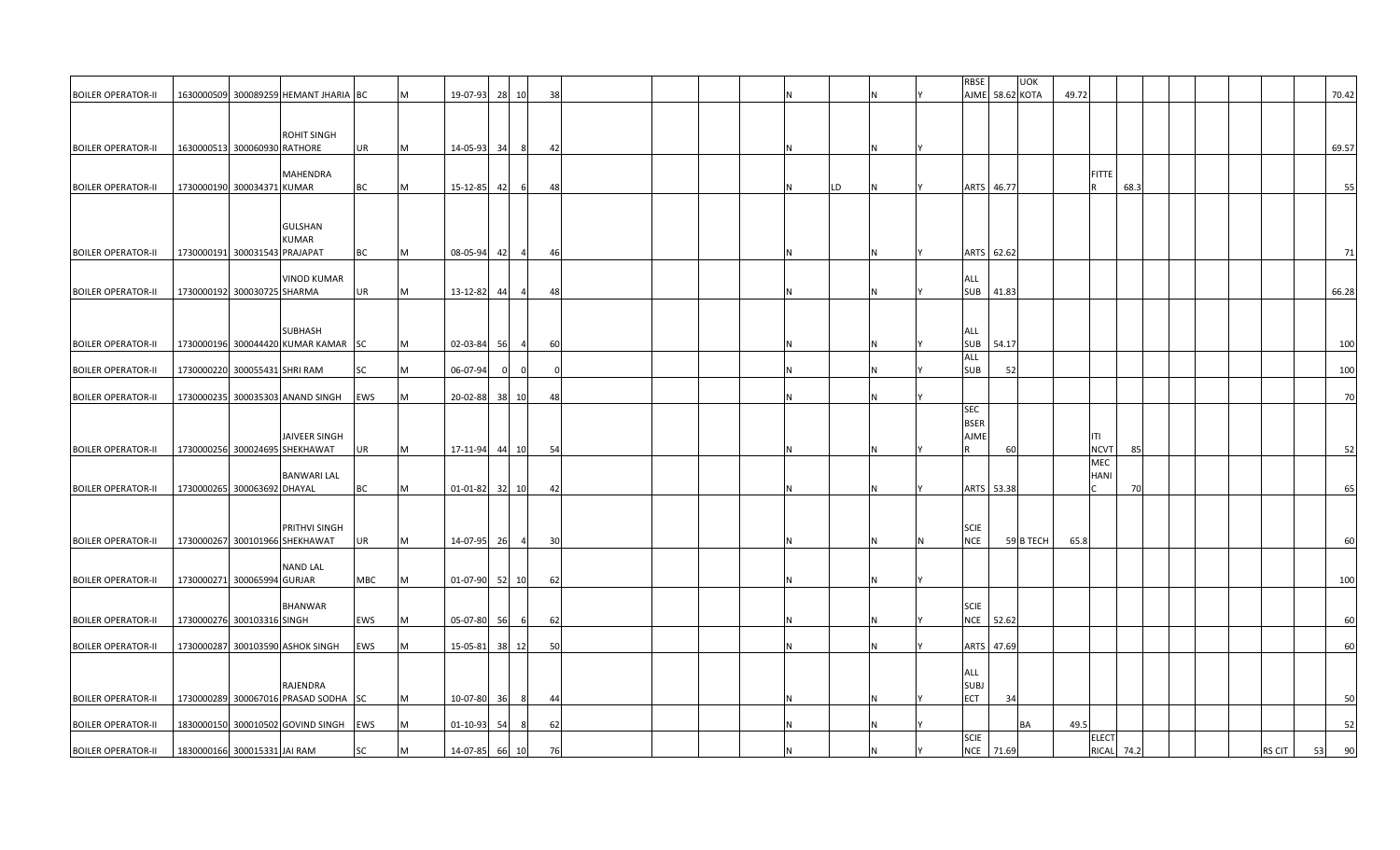|                           |                               |                                       |     |   |                  |    |                |     |  |  |   |    |  | RBSE        | <b>UOK</b>      |       |                   |      |  |               |    |       |
|---------------------------|-------------------------------|---------------------------------------|-----|---|------------------|----|----------------|-----|--|--|---|----|--|-------------|-----------------|-------|-------------------|------|--|---------------|----|-------|
|                           |                               |                                       |     |   |                  |    |                |     |  |  |   |    |  |             |                 |       |                   |      |  |               |    |       |
| <b>BOILER OPERATOR-II</b> |                               | 1630000509 300089259 HEMANT JHARIA BC |     | М | 19-07-93         | 28 | 10             | 38  |  |  |   |    |  |             | AJME 58.62 KOTA | 49.72 |                   |      |  |               |    | 70.42 |
|                           |                               |                                       |     |   |                  |    |                |     |  |  |   |    |  |             |                 |       |                   |      |  |               |    |       |
|                           |                               |                                       |     |   |                  |    |                |     |  |  |   |    |  |             |                 |       |                   |      |  |               |    |       |
|                           |                               | <b>ROHIT SINGH</b>                    |     |   |                  |    |                |     |  |  |   |    |  |             |                 |       |                   |      |  |               |    |       |
| <b>BOILER OPERATOR-II</b> | 1630000513 300060930 RATHORE  |                                       | UR  | M | 14-05-93 34      |    | 8 <sup>1</sup> | -42 |  |  |   |    |  |             |                 |       |                   |      |  |               |    | 69.57 |
|                           |                               |                                       |     |   |                  |    |                |     |  |  |   |    |  |             |                 |       |                   |      |  |               |    |       |
|                           |                               | MAHENDRA                              |     |   |                  |    |                |     |  |  |   |    |  |             |                 |       | <b>FITTE</b>      |      |  |               |    |       |
|                           |                               |                                       |     | м |                  |    |                |     |  |  |   |    |  |             |                 |       |                   |      |  |               |    |       |
| <b>BOILER OPERATOR-II</b> | 1730000190 300034371 KUMAR    |                                       | ВC  |   | 15-12-85 42      |    | 6              | 48  |  |  |   | LD |  |             | ARTS 46.77      |       |                   | 68.3 |  |               |    | 55    |
|                           |                               |                                       |     |   |                  |    |                |     |  |  |   |    |  |             |                 |       |                   |      |  |               |    |       |
|                           |                               |                                       |     |   |                  |    |                |     |  |  |   |    |  |             |                 |       |                   |      |  |               |    |       |
|                           |                               | <b>GULSHAN</b>                        |     |   |                  |    |                |     |  |  |   |    |  |             |                 |       |                   |      |  |               |    |       |
|                           |                               | KUMAR                                 |     |   |                  |    |                |     |  |  |   |    |  |             |                 |       |                   |      |  |               |    |       |
| <b>BOILER OPERATOR-II</b> | 1730000191 300031543 PRAJAPAT |                                       | BC  | м | 08-05-94         | 42 | -4             | -46 |  |  |   |    |  |             | ARTS 62.62      |       |                   |      |  |               |    | 71    |
|                           |                               |                                       |     |   |                  |    |                |     |  |  |   |    |  |             |                 |       |                   |      |  |               |    |       |
|                           |                               |                                       |     |   |                  |    |                |     |  |  |   |    |  |             |                 |       |                   |      |  |               |    |       |
|                           |                               | <b>VINOD KUMAR</b>                    |     |   |                  |    |                |     |  |  |   |    |  | ALL         |                 |       |                   |      |  |               |    |       |
| <b>BOILER OPERATOR-II</b> | 1730000192 300030725 SHARMA   |                                       | UR  | M | 13-12-82         | 44 |                | 48  |  |  |   |    |  | <b>SUB</b>  | 41.83           |       |                   |      |  |               |    | 66.28 |
|                           |                               |                                       |     |   |                  |    |                |     |  |  |   |    |  |             |                 |       |                   |      |  |               |    |       |
|                           |                               |                                       |     |   |                  |    |                |     |  |  |   |    |  |             |                 |       |                   |      |  |               |    |       |
|                           |                               | <b>SUBHASH</b>                        |     |   |                  |    |                |     |  |  |   |    |  | <b>ALL</b>  |                 |       |                   |      |  |               |    |       |
| <b>BOILER OPERATOR-II</b> |                               | 1730000196 300044420 KUMAR KAMAR SC   |     | M | 02-03-84 56      |    | $\overline{4}$ | 60  |  |  | N |    |  | <b>SUB</b>  | 54.17           |       |                   |      |  |               |    | 100   |
|                           |                               |                                       |     |   |                  |    |                |     |  |  |   |    |  |             |                 |       |                   |      |  |               |    |       |
|                           |                               |                                       |     |   |                  |    |                |     |  |  |   |    |  | ALL         |                 |       |                   |      |  |               |    |       |
| <b>BOILER OPERATOR-II</b> | 1730000220 300055431 SHRI RAM |                                       | SC  | Μ | 06-07-94         |    |                |     |  |  |   |    |  | <b>SUB</b>  | 52              |       |                   |      |  |               |    | 100   |
|                           |                               |                                       |     |   |                  |    |                |     |  |  |   |    |  |             |                 |       |                   |      |  |               |    |       |
| <b>BOILER OPERATOR-II</b> |                               | 1730000235 300035303 ANAND SINGH      | EWS | м | 20-02-88         | 38 | 10             | 48  |  |  |   |    |  |             |                 |       |                   |      |  |               |    | 70    |
|                           |                               |                                       |     |   |                  |    |                |     |  |  |   |    |  | <b>SEC</b>  |                 |       |                   |      |  |               |    |       |
|                           |                               |                                       |     |   |                  |    |                |     |  |  |   |    |  | <b>BSER</b> |                 |       |                   |      |  |               |    |       |
|                           |                               | <b>JAIVEER SINGH</b>                  |     |   |                  |    |                |     |  |  |   |    |  | AJME        |                 |       | ITI               |      |  |               |    |       |
|                           |                               |                                       |     |   |                  |    |                |     |  |  |   |    |  |             |                 |       |                   |      |  |               |    |       |
| <b>BOILER OPERATOR-II</b> |                               | 1730000256 300024695 SHEKHAWAT        | UR  | M | 17-11-94 44 10   |    |                | 54  |  |  | N |    |  | R           | 60              |       | <b>NCVT</b>       | 85   |  |               |    | 52    |
|                           |                               |                                       |     |   |                  |    |                |     |  |  |   |    |  |             |                 |       | MEC               |      |  |               |    |       |
|                           |                               | <b>BANWARI LAL</b>                    |     |   |                  |    |                |     |  |  |   |    |  |             |                 |       | HANI              |      |  |               |    |       |
| <b>BOILER OPERATOR-II</b> | 1730000265 300063692 DHAYAL   |                                       | BC  | M | $01-01-82$ 32 10 |    |                | -42 |  |  |   |    |  |             | ARTS 53.38      |       |                   | 70   |  |               |    | 65    |
|                           |                               |                                       |     |   |                  |    |                |     |  |  |   |    |  |             |                 |       |                   |      |  |               |    |       |
|                           |                               |                                       |     |   |                  |    |                |     |  |  |   |    |  |             |                 |       |                   |      |  |               |    |       |
|                           |                               |                                       |     |   |                  |    |                |     |  |  |   |    |  |             |                 |       |                   |      |  |               |    |       |
|                           |                               | PRITHVI SINGH                         |     |   |                  |    |                |     |  |  |   |    |  | <b>SCIE</b> |                 |       |                   |      |  |               |    |       |
| <b>BOILER OPERATOR-II</b> |                               | 1730000267 300101966 SHEKHAWAT        | UR  | M | 14-07-95 26      |    | 4              | 30  |  |  |   |    |  | <b>NCE</b>  | 59 B TECH       | 65.8  |                   |      |  |               |    | 60    |
|                           |                               |                                       |     |   |                  |    |                |     |  |  |   |    |  |             |                 |       |                   |      |  |               |    |       |
|                           |                               | <b>NAND LAL</b>                       |     |   |                  |    |                |     |  |  |   |    |  |             |                 |       |                   |      |  |               |    |       |
| <b>BOILER OPERATOR-II</b> | 1730000271 300065994 GURJAR   |                                       | MBC | M | 01-07-90 52 10   |    |                | 62  |  |  |   |    |  |             |                 |       |                   |      |  |               |    | 100   |
|                           |                               |                                       |     |   |                  |    |                |     |  |  |   |    |  |             |                 |       |                   |      |  |               |    |       |
|                           |                               | <b>BHANWAR</b>                        |     |   |                  |    |                |     |  |  |   |    |  | <b>SCIE</b> |                 |       |                   |      |  |               |    |       |
|                           |                               |                                       |     |   |                  |    |                |     |  |  |   |    |  |             |                 |       |                   |      |  |               |    |       |
| <b>BOILER OPERATOR-II</b> | 1730000276 300103316 SINGH    |                                       | EWS |   | 05-07-80         | 56 | -6             | 62  |  |  |   |    |  |             | NCE 52.62       |       |                   |      |  |               |    | 60    |
|                           |                               |                                       |     |   |                  |    |                |     |  |  |   |    |  |             |                 |       |                   |      |  |               |    |       |
| <b>BOILER OPERATOR-II</b> |                               | 1730000287 300103590 ASHOK SINGH      | EWS | M | $15-05-81$       |    | 38 12          | 50  |  |  | N |    |  |             | ARTS 47.69      |       |                   |      |  |               |    | 60    |
|                           |                               |                                       |     |   |                  |    |                |     |  |  |   |    |  |             |                 |       |                   |      |  |               |    |       |
|                           |                               |                                       |     |   |                  |    |                |     |  |  |   |    |  | ALL         |                 |       |                   |      |  |               |    |       |
|                           |                               | RAJENDRA                              |     |   |                  |    |                |     |  |  |   |    |  | <b>SUBJ</b> |                 |       |                   |      |  |               |    |       |
|                           |                               |                                       |     |   |                  |    |                |     |  |  |   |    |  | <b>ECT</b>  | 34              |       |                   |      |  |               |    | 50    |
| <b>BOILER OPERATOR-II</b> |                               | 1730000289 300067016 PRASAD SODHA SC  |     | м | 10-07-80 36      |    | - 81           | -44 |  |  |   |    |  |             |                 |       |                   |      |  |               |    |       |
|                           |                               |                                       |     |   |                  |    |                |     |  |  |   |    |  |             |                 |       |                   |      |  |               |    |       |
| <b>BOILER OPERATOR-II</b> |                               | 1830000150 300010502 GOVIND SINGH     | EWS | м | $01-10-93$ 54    |    | - 8            | 62  |  |  |   |    |  |             | BA              | 49.5  |                   |      |  |               |    | 52    |
|                           |                               |                                       |     |   |                  |    |                |     |  |  |   |    |  | <b>SCIE</b> |                 |       | ELECT             |      |  |               |    |       |
| <b>BOILER OPERATOR-II</b> | 1830000166 300015331 JAI RAM  |                                       | SC  | М | 14-07-85 66      |    | 10             | 76  |  |  |   |    |  |             | NCE 71.69       |       | <b>RICAL</b> 74.2 |      |  | <b>RS CIT</b> | 53 | 90    |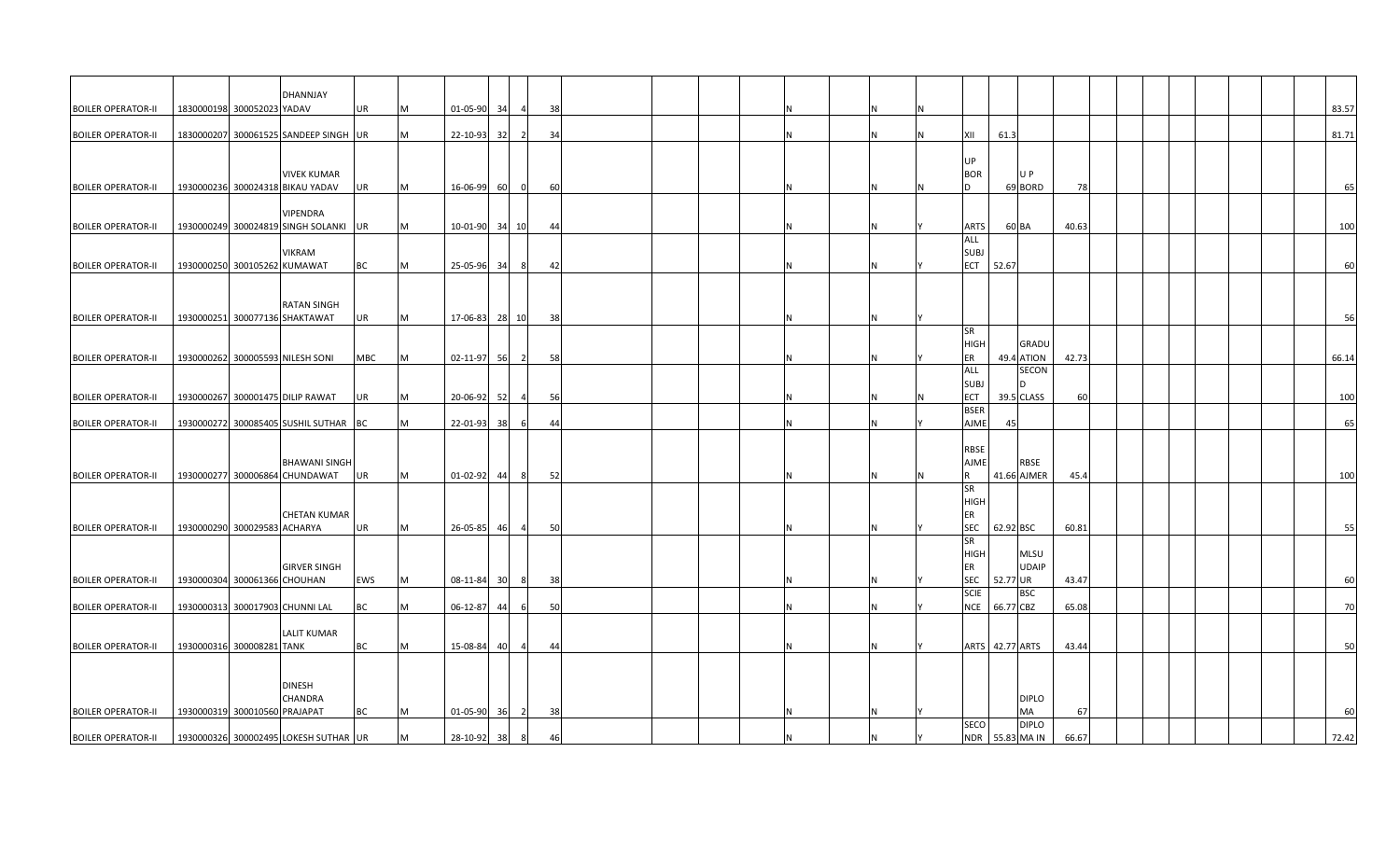| <b>BOILER OPERATOR-II</b> | DHANNJAY<br>1830000198 300052023 YADAV                 | UR<br>M         | 01-05-90       | 34 | 38                   |  |  |   |  |   |                           |          |                 |       |  |  | 83.57 |
|---------------------------|--------------------------------------------------------|-----------------|----------------|----|----------------------|--|--|---|--|---|---------------------------|----------|-----------------|-------|--|--|-------|
|                           |                                                        |                 |                |    |                      |  |  |   |  |   |                           |          |                 |       |  |  |       |
| <b>BOILER OPERATOR-II</b> | 1830000207 300061525 SANDEEP SINGH UR                  | M               | 22-10-93       | 32 | 34                   |  |  |   |  |   | XII                       | 61.3     |                 |       |  |  | 81.71 |
|                           |                                                        |                 |                |    |                      |  |  |   |  |   |                           |          |                 |       |  |  |       |
|                           |                                                        |                 |                |    |                      |  |  |   |  |   | UP                        |          |                 |       |  |  |       |
| <b>BOILER OPERATOR-II</b> | <b>VIVEK KUMAR</b><br>1930000236 300024318 BIKAU YADAV | M               | 16-06-99 60    |    | 60<br>$\Omega$       |  |  |   |  | N | <b>BOR</b><br>l D         |          | U P<br>69 BORD  | 78    |  |  | 65    |
|                           |                                                        | UR              |                |    |                      |  |  |   |  |   |                           |          |                 |       |  |  |       |
|                           | VIPENDRA                                               |                 |                |    |                      |  |  |   |  |   |                           |          |                 |       |  |  |       |
| <b>BOILER OPERATOR-II</b> | 1930000249 300024819 SINGH SOLANKI UR                  | M               | 10-01-90 34 10 |    | 44                   |  |  |   |  |   | <b>ARTS</b>               |          | 60 BA           | 40.63 |  |  | 100   |
|                           |                                                        |                 |                |    |                      |  |  |   |  |   | ALL                       |          |                 |       |  |  |       |
|                           | <b>VIKRAM</b>                                          |                 |                |    |                      |  |  |   |  |   | <b>SUBJ</b>               |          |                 |       |  |  |       |
| <b>BOILER OPERATOR-II</b> | 1930000250 300105262 KUMAWAT                           | BC<br>M         | 25-05-96       | 34 | 42<br>-81            |  |  |   |  |   | <b>ECT</b>                | 52.67    |                 |       |  |  | 60    |
|                           |                                                        |                 |                |    |                      |  |  |   |  |   |                           |          |                 |       |  |  |       |
|                           | <b>RATAN SINGH</b>                                     |                 |                |    |                      |  |  |   |  |   |                           |          |                 |       |  |  |       |
| <b>BOILER OPERATOR-II</b> | 1930000251 300077136 SHAKTAWAT                         | UR<br>M         | 17-06-83 28 10 |    | 38                   |  |  |   |  |   |                           |          |                 |       |  |  | 56    |
|                           |                                                        |                 |                |    |                      |  |  |   |  |   | SR                        |          |                 |       |  |  |       |
|                           |                                                        |                 |                |    |                      |  |  |   |  |   | <b>HIGH</b>               |          | <b>GRADU</b>    |       |  |  |       |
| <b>BOILER OPERATOR-II</b> | 1930000262 300005593 NILESH SONI                       | <b>MBC</b><br>M | 02-11-97 56    |    | 58<br>$\overline{2}$ |  |  |   |  |   | ER                        |          | 49.4 ATION      | 42.73 |  |  | 66.14 |
|                           |                                                        |                 |                |    |                      |  |  |   |  |   | <b>ALL</b>                |          | SECON<br>n.     |       |  |  |       |
| <b>BOILER OPERATOR-II</b> | 1930000267 300001475 DILIP RAWAT                       | UR<br>M         | 20-06-92       | 52 | 56                   |  |  |   |  |   | <b>SUBJ</b><br><b>ECT</b> |          | 39.5 CLASS      | 60    |  |  | 100   |
|                           |                                                        |                 |                |    |                      |  |  |   |  |   | <b>BSER</b>               |          |                 |       |  |  |       |
| <b>BOILER OPERATOR-II</b> | 1930000272 300085405 SUSHIL SUTHAR                     | <b>BC</b><br>M  | 22-01-93       | 38 | 44                   |  |  |   |  |   | <b>AJME</b>               | 45       |                 |       |  |  | 65    |
|                           |                                                        |                 |                |    |                      |  |  |   |  |   |                           |          |                 |       |  |  |       |
|                           |                                                        |                 |                |    |                      |  |  |   |  |   | <b>RBSE</b>               |          |                 |       |  |  |       |
|                           | <b>BHAWANI SINGH</b>                                   |                 |                |    |                      |  |  |   |  |   | <b>AJME</b>               |          | <b>RBSE</b>     |       |  |  |       |
| <b>BOILER OPERATOR-II</b> | 1930000277 300006864 CHUNDAWAT                         | UR<br>M         | $01-02-92$     | 44 | 52<br>8              |  |  |   |  |   | <b>R</b><br><b>SR</b>     |          | 41.66 AJMER     | 45.4  |  |  | 100   |
|                           |                                                        |                 |                |    |                      |  |  |   |  |   | <b>HIGH</b>               |          |                 |       |  |  |       |
|                           | <b>CHETAN KUMAR</b>                                    |                 |                |    |                      |  |  |   |  |   | ER                        |          |                 |       |  |  |       |
| <b>BOILER OPERATOR-II</b> | 1930000290 300029583 ACHARYA                           | UR<br>M         | 26-05-85       | 46 | 50                   |  |  |   |  |   | <b>SEC</b>                |          | 62.92 BSC       | 60.81 |  |  | 55    |
|                           |                                                        |                 |                |    |                      |  |  |   |  |   | SR                        |          |                 |       |  |  |       |
|                           |                                                        |                 |                |    |                      |  |  |   |  |   | <b>HIGH</b>               |          | <b>MLSU</b>     |       |  |  |       |
|                           | <b>GIRVER SINGH</b>                                    |                 |                |    |                      |  |  |   |  |   | ER                        |          | <b>UDAIP</b>    |       |  |  |       |
| <b>BOILER OPERATOR-II</b> | 1930000304 300061366 CHOUHAN                           | EWS<br>M        | 08-11-84 30 8  |    | - 38                 |  |  |   |  |   | <b>SEC</b><br><b>SCIE</b> | 52.77 UR | <b>BSC</b>      | 43.47 |  |  | 60    |
| <b>BOILER OPERATOR-II</b> | 1930000313 300017903 CHUNNI LAL                        | ВC<br>M         | $06 - 12 - 87$ | 44 | 50<br>6              |  |  |   |  |   | <b>NCE</b>                |          | 66.77 CBZ       | 65.08 |  |  | 70    |
|                           |                                                        |                 |                |    |                      |  |  |   |  |   |                           |          |                 |       |  |  |       |
|                           | <b>LALIT KUMAR</b>                                     |                 |                |    |                      |  |  |   |  |   |                           |          |                 |       |  |  |       |
| <b>BOILER OPERATOR-II</b> | 1930000316 300008281 TANK                              | ВC<br>M         | 15-08-84       | 40 | 44                   |  |  |   |  |   |                           |          | ARTS 42.77 ARTS | 43.44 |  |  | 50    |
|                           |                                                        |                 |                |    |                      |  |  |   |  |   |                           |          |                 |       |  |  |       |
|                           |                                                        |                 |                |    |                      |  |  |   |  |   |                           |          |                 |       |  |  |       |
|                           | <b>DINESH</b><br>CHANDRA                               |                 |                |    |                      |  |  |   |  |   |                           |          | <b>DIPLO</b>    |       |  |  |       |
| <b>BOILER OPERATOR-II</b> | 1930000319 300010560 PRAJAPAT                          | ВC<br>M         | $01 - 05 - 90$ | 36 | 38                   |  |  |   |  |   |                           |          | MA              | 67    |  |  | 60    |
|                           |                                                        |                 |                |    |                      |  |  |   |  |   | <b>SECO</b>               |          | <b>DIPLO</b>    |       |  |  |       |
| <b>BOILER OPERATOR-II</b> | 1930000326 300002495 LOKESH SUTHAR UR                  | M               | 28-10-92 38    |    | 46                   |  |  | N |  |   |                           |          | NDR 55.83 MA IN | 66.67 |  |  | 72.42 |